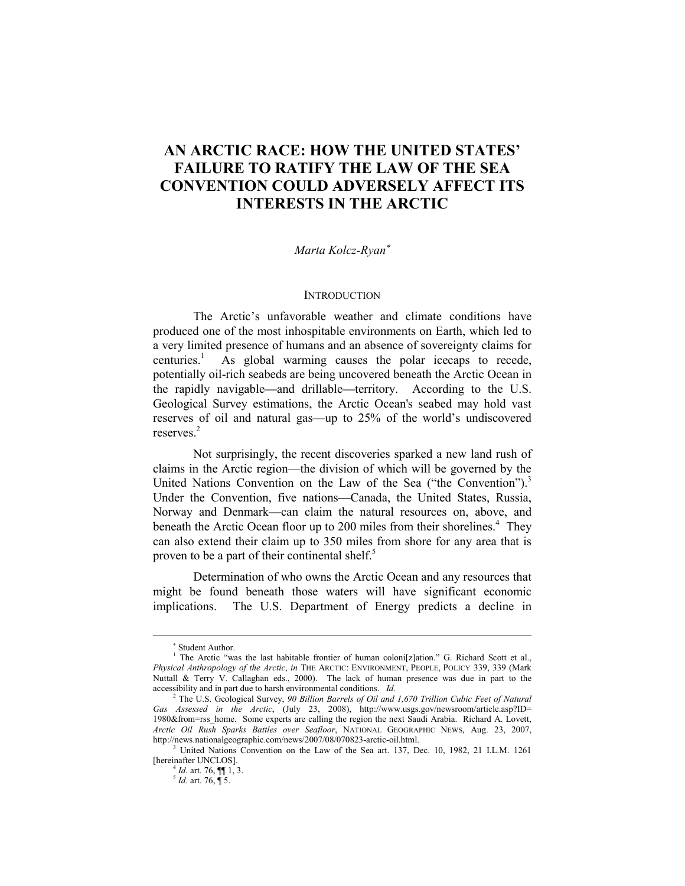# **AN ARCTIC RACE: HOW THE UNITED STATES' FAILURE TO RATIFY THE LAW OF THE SEA CONVENTION COULD ADVERSELY AFFECT ITS INTERESTS IN THE ARCTIC**

#### *Marta Kolcz-Ryan*<sup>∗</sup>

#### **INTRODUCTION**

The Arctic's unfavorable weather and climate conditions have produced one of the most inhospitable environments on Earth, which led to a very limited presence of humans and an absence of sovereignty claims for centuries. $<sup>1</sup>$ </sup> As global warming causes the polar icecaps to recede, potentially oil-rich seabeds are being uncovered beneath the Arctic Ocean in the rapidly navigable**—**and drillable**—**territory. According to the U.S. Geological Survey estimations, the Arctic Ocean's seabed may hold vast reserves of oil and natural gas—up to 25% of the world's undiscovered reserves.<sup>2</sup>

Not surprisingly, the recent discoveries sparked a new land rush of claims in the Arctic region—the division of which will be governed by the United Nations Convention on the Law of the Sea ("the Convention").<sup>3</sup> Under the Convention, five nations**—**Canada, the United States, Russia, Norway and Denmark**—**can claim the natural resources on, above, and beneath the Arctic Ocean floor up to 200 miles from their shorelines.<sup>4</sup> They can also extend their claim up to 350 miles from shore for any area that is proven to be a part of their continental shelf. $5$ 

Determination of who owns the Arctic Ocean and any resources that might be found beneath those waters will have significant economic implications. The U.S. Department of Energy predicts a decline in

 $\overline{a}$ 

<sup>∗</sup> Student Author.

<sup>&</sup>lt;sup>1</sup> The Arctic "was the last habitable frontier of human coloni<sup>[</sup>z]ation." G. Richard Scott et al., *Physical Anthropology of the Arctic*, *in* THE ARCTIC: ENVIRONMENT, PEOPLE, POLICY 339, 339 (Mark Nuttall & Terry V. Callaghan eds., 2000). The lack of human presence was due in part to the accessibility and in part due to harsh environmental conditions. *Id.*

<sup>&</sup>lt;sup>2</sup> The U.S. Geological Survey, 90 Billion Barrels of Oil and 1,670 Trillion Cubic Feet of Natural *Gas Assessed in the Arctic*, (July 23, 2008), http://www.usgs.gov/newsroom/article.asp?ID= 1980&from=rss\_home. Some experts are calling the region the next Saudi Arabia. Richard A. Lovett, *Arctic Oil Rush Sparks Battles over Seafloor*, NATIONAL GEOGRAPHIC NEWS, Aug. 23, 2007, http://news.nationalgeographic.com/news/2007/08/070823-arctic-oil.html.

<sup>&</sup>lt;sup>3</sup> United Nations Convention on the Law of the Sea art. 137, Dec. 10, 1982, 21 I.L.M. 1261 [hereinafter UNCLOS]. 4 *Id.* art. 76, ¶¶ 1, 3. 5 *Id.* art. 76, ¶ 5.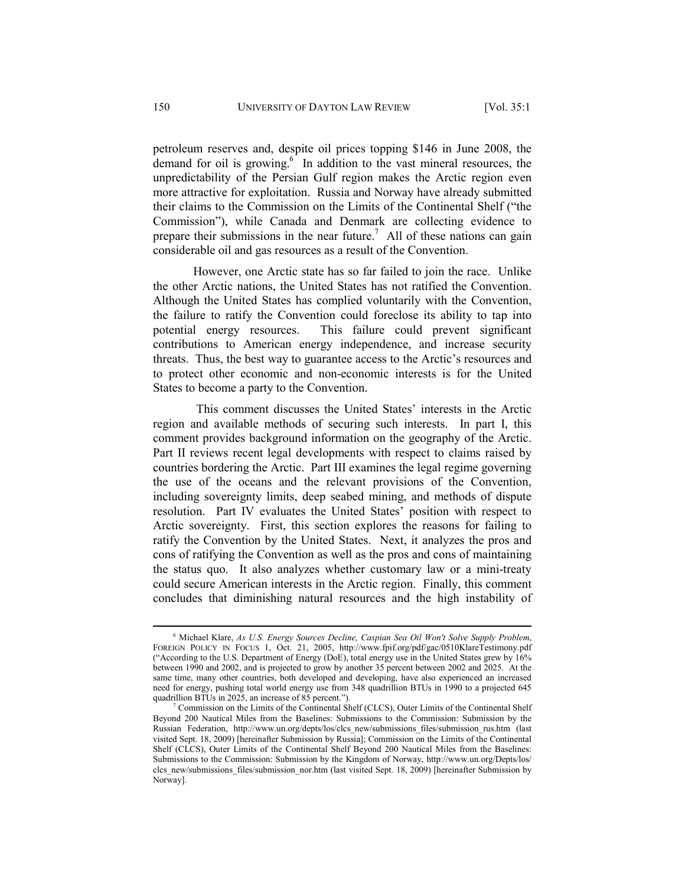petroleum reserves and, despite oil prices topping \$146 in June 2008, the demand for oil is growing. $6\degree$  In addition to the vast mineral resources, the unpredictability of the Persian Gulf region makes the Arctic region even more attractive for exploitation. Russia and Norway have already submitted their claims to the Commission on the Limits of the Continental Shelf ("the Commission"), while Canada and Denmark are collecting evidence to prepare their submissions in the near future.<sup>7</sup> All of these nations can gain considerable oil and gas resources as a result of the Convention.

However, one Arctic state has so far failed to join the race. Unlike the other Arctic nations, the United States has not ratified the Convention. Although the United States has complied voluntarily with the Convention, the failure to ratify the Convention could foreclose its ability to tap into potential energy resources. This failure could prevent significant contributions to American energy independence, and increase security threats. Thus, the best way to guarantee access to the Arctic's resources and to protect other economic and non-economic interests is for the United States to become a party to the Convention.

 This comment discusses the United States' interests in the Arctic region and available methods of securing such interests. In part I, this comment provides background information on the geography of the Arctic. Part II reviews recent legal developments with respect to claims raised by countries bordering the Arctic. Part III examines the legal regime governing the use of the oceans and the relevant provisions of the Convention, including sovereignty limits, deep seabed mining, and methods of dispute resolution. Part IV evaluates the United States' position with respect to Arctic sovereignty. First, this section explores the reasons for failing to ratify the Convention by the United States. Next, it analyzes the pros and cons of ratifying the Convention as well as the pros and cons of maintaining the status quo. It also analyzes whether customary law or a mini-treaty could secure American interests in the Arctic region. Finally, this comment concludes that diminishing natural resources and the high instability of

 $\overline{6}$  Michael Klare, *As U.S. Energy Sources Decline, Caspian Sea Oil Won't Solve Supply Problem*, FOREIGN POLICY IN FOCUS 1, Oct. 21, 2005, http://www.fpif.org/pdf/gac/0510KlareTestimony.pdf ("According to the U.S. Department of Energy (DoE), total energy use in the United States grew by 16% between 1990 and 2002, and is projected to grow by another 35 percent between 2002 and 2025. At the same time, many other countries, both developed and developing, have also experienced an increased need for energy, pushing total world energy use from 348 quadrillion BTUs in 1990 to a projected 645 quadrillion BTUs in 2025, an increase of 85 percent.").

Commission on the Limits of the Continental Shelf (CLCS), Outer Limits of the Continental Shelf Beyond 200 Nautical Miles from the Baselines: Submissions to the Commission: Submission by the Russian Federation, http://www.un.org/depts/los/clcs new/submissions files/submission rus.htm (last visited Sept. 18, 2009) [hereinafter Submission by Russia]; Commission on the Limits of the Continental Shelf (CLCS), Outer Limits of the Continental Shelf Beyond 200 Nautical Miles from the Baselines: Submissions to the Commission: Submission by the Kingdom of Norway, http://www.un.org/Depts/los/ clcs\_new/submissions\_files/submission\_nor.htm (last visited Sept. 18, 2009) [hereinafter Submission by Norway].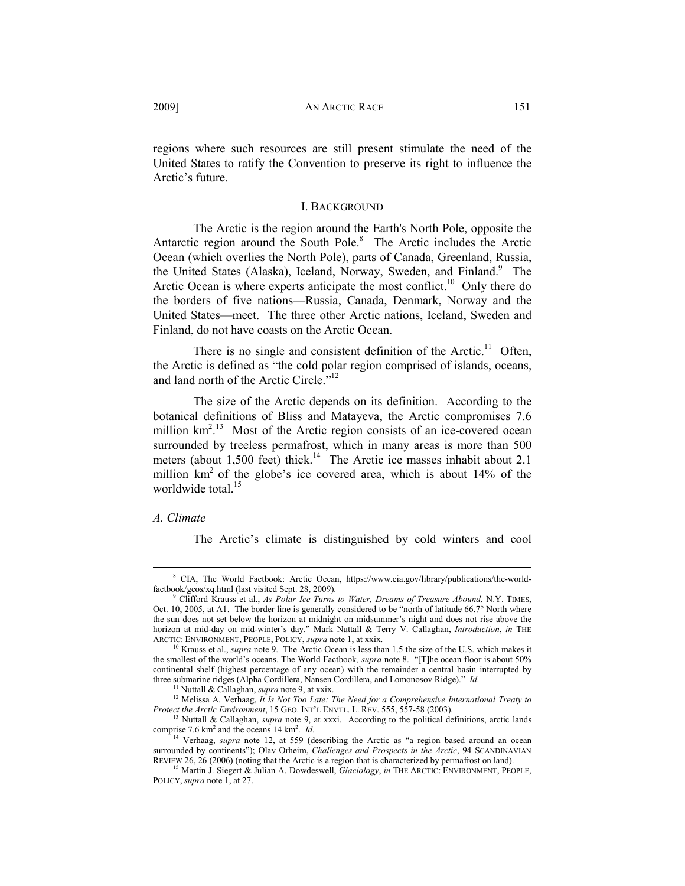regions where such resources are still present stimulate the need of the United States to ratify the Convention to preserve its right to influence the Arctic's future.

#### I. BACKGROUND

The Arctic is the region around the Earth's North Pole, opposite the Antarctic region around the South Pole.<sup>8</sup> The Arctic includes the Arctic Ocean (which overlies the North Pole), parts of Canada, Greenland, Russia, the United States (Alaska), Iceland, Norway, Sweden, and Finland.<sup>9</sup> The Arctic Ocean is where experts anticipate the most conflict.<sup>10</sup> Only there do the borders of five nations—Russia, Canada, Denmark, Norway and the United States—meet. The three other Arctic nations, Iceland, Sweden and Finland, do not have coasts on the Arctic Ocean.

There is no single and consistent definition of the Arctic.<sup>11</sup> Often, the Arctic is defined as "the cold polar region comprised of islands, oceans, and land north of the Arctic Circle."<sup>12</sup>

The size of the Arctic depends on its definition. According to the botanical definitions of Bliss and Matayeva, the Arctic compromises 7.6 million  $km<sup>2,13</sup>$  Most of the Arctic region consists of an ice-covered ocean surrounded by treeless permafrost, which in many areas is more than 500 meters (about 1,500 feet) thick.<sup>14</sup> The Arctic ice masses inhabit about 2.1 million km2 of the globe's ice covered area, which is about 14% of the worldwide total.<sup>15</sup>

#### *A. Climate*

The Arctic's climate is distinguished by cold winters and cool

 $\frac{1}{8}$  CIA, The World Factbook: Arctic Ocean, https://www.cia.gov/library/publications/the-worldfactbook/geos/xq.html (last visited Sept. 28, 2009).

Clifford Krauss et al., *As Polar Ice Turns to Water, Dreams of Treasure Abound,* N.Y. TIMES, Oct. 10, 2005, at A1. The border line is generally considered to be "north of latitude 66.7° North where the sun does not set below the horizon at midnight on midsummer's night and does not rise above the horizon at mid-day on mid-winter's day." Mark Nuttall & Terry V. Callaghan, *Introduction*, *in* THE ARCTIC: ENVIRONMENT, PEOPLE, POLICY, *supra* note 1, at xxix.

<sup>&</sup>lt;sup>0</sup> Krauss et al., *supra* note 9. The Arctic Ocean is less than 1.5 the size of the U.S. which makes it the smallest of the world's oceans. The World Factbook*, supra* note 8. "[T]he ocean floor is about 50% continental shelf (highest percentage of any ocean) with the remainder a central basin interrupted by three submarine ridges (Alpha Cordillera, Nansen Cordillera, and Lomonosov Ridge)." *Id.*<br><sup>11</sup> Nuttall & Callaghan, *supra* note 9, at xxix.<br><sup>12</sup> Melissa A. Verhaag, *It Is Not Too Late: The Need for a Comprehensive Inter* 

*Protect the Arctic Environment*, 15 GEO. INT'L ENVTL. L. REV. 555, 557-58 (2003). <sup>13</sup> Nuttall & Callaghan, *supra* note 9, at xxxi. According to the political definitions, arctic lands

comprise  $7.6 \text{ km}^2$  and the oceans  $14 \text{ km}^2$ 

Verhaag, *supra* note 12, at 559 (describing the Arctic as "a region based around an ocean surrounded by continents"); Olav Orheim, *Challenges and Prospects in the Arctic*, 94 SCANDINAVIAN REVIEW 26, 26 (2006) (noting that the Arctic is a region that is characterized by permafrost on land). 15 Martin J. Siegert & Julian A. Dowdeswell, *Glaciology*, *in* THE ARCTIC: ENVIRONMENT, PEOPLE,

POLICY, *supra* note 1, at 27.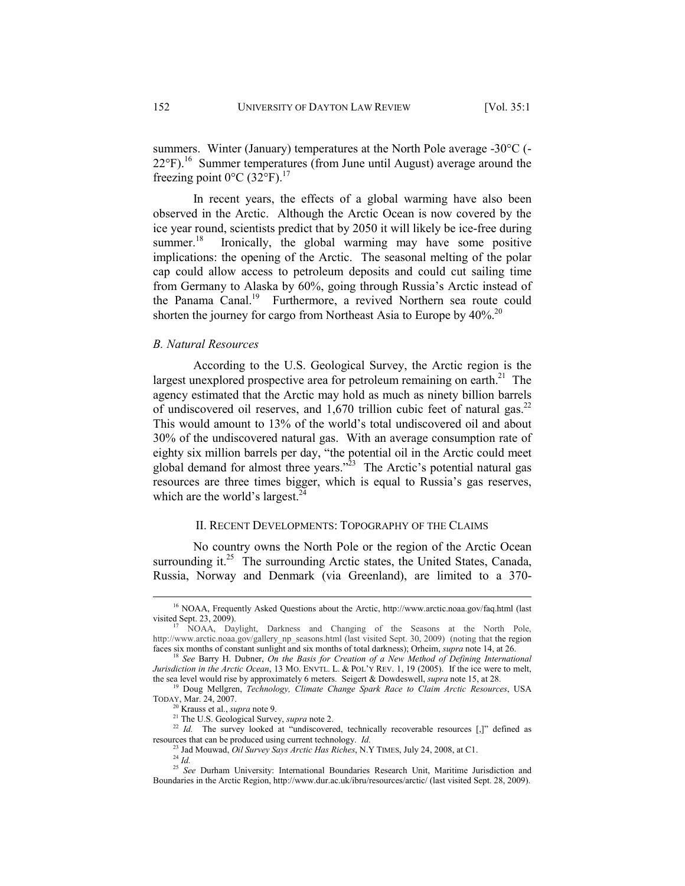summers. Winter (January) temperatures at the North Pole average -30°C (- $22^{\circ}$ F).<sup>16</sup> Summer temperatures (from June until August) average around the freezing point  $0^{\circ}$ C (32 $^{\circ}$ F).<sup>17</sup>

In recent years, the effects of a global warming have also been observed in the Arctic. Although the Arctic Ocean is now covered by the ice year round, scientists predict that by 2050 it will likely be ice-free during summer.<sup>18</sup> Ironically, the global warming may have some positive implications: the opening of the Arctic. The seasonal melting of the polar cap could allow access to petroleum deposits and could cut sailing time from Germany to Alaska by 60%, going through Russia's Arctic instead of the Panama Canal.<sup>19</sup> Furthermore, a revived Northern sea route could shorten the journey for cargo from Northeast Asia to Europe by  $40\%$ <sup>20</sup>

# *B. Natural Resources*

According to the U.S. Geological Survey, the Arctic region is the largest unexplored prospective area for petroleum remaining on earth.<sup>21</sup> The agency estimated that the Arctic may hold as much as ninety billion barrels of undiscovered oil reserves, and 1,670 trillion cubic feet of natural gas.<sup>22</sup> This would amount to 13% of the world's total undiscovered oil and about 30% of the undiscovered natural gas. With an average consumption rate of eighty six million barrels per day, "the potential oil in the Arctic could meet global demand for almost three years." $\frac{1}{2}$  The Arctic's potential natural gas resources are three times bigger, which is equal to Russia's gas reserves, which are the world's largest.<sup>24</sup>

### II. RECENT DEVELOPMENTS: TOPOGRAPHY OF THE CLAIMS

No country owns the North Pole or the region of the Arctic Ocean surrounding it.<sup>25</sup> The surrounding Arctic states, the United States, Canada, Russia, Norway and Denmark (via Greenland), are limited to a 370-

<sup>&</sup>lt;sup>16</sup> NOAA, Frequently Asked Questions about the Arctic, http://www.arctic.noaa.gov/faq.html (last visited Sept. 23, 2009).<br><sup>17</sup> NOAA, Daylight, Darkness and Changing of the Seasons at the North Pole,

http://www.arctic.noaa.gov/gallery\_np\_seasons.html (last visited Sept. 30, 2009) (noting that the region faces six months of constant sunlight and six months of total darkness); Orheim, *supra* note 14, at 26. <sup>18</sup> *See* Barry H. Dubner, *On the Basis for Creation of a New Method of Defining International* 

*Jurisdiction in the Arctic Ocean*, 13 MO. ENVTL. L. & POL'Y REV. 1, 19 (2005). If the ice were to melt,

the sea level would rise by approximately 6 meters. Seigert & Dowdeswell, *supra* note 15, at 28.<br><sup>19</sup> Doug Mellgren, *Technology, Climate Change Spark Race to Claim Arctic Resources*, USA TODAY, Mar. 24, 2007.<br><sup>20</sup> Krauss et al., *supra* note 9.

Exauss et al., *supra* note 9.<br><sup>21</sup> The U.S. Geological Survey, *supra* note 2.<br><sup>22</sup> *Id.* The survey looked at "undiscovered, technically recoverable resources [,]" defined as resources that can be produced using current technology. *Id.*<br><sup>23</sup> Jad Mouwad, *Oil Survey Says Arctic Has Riches*, N.Y TIMES, July 24, 2008, at C1.<br><sup>24</sup> *Id.*<br><sup>25</sup> See Durham University: International Boundaries Research

Boundaries in the Arctic Region, http://www.dur.ac.uk/ibru/resources/arctic/ (last visited Sept. 28, 2009).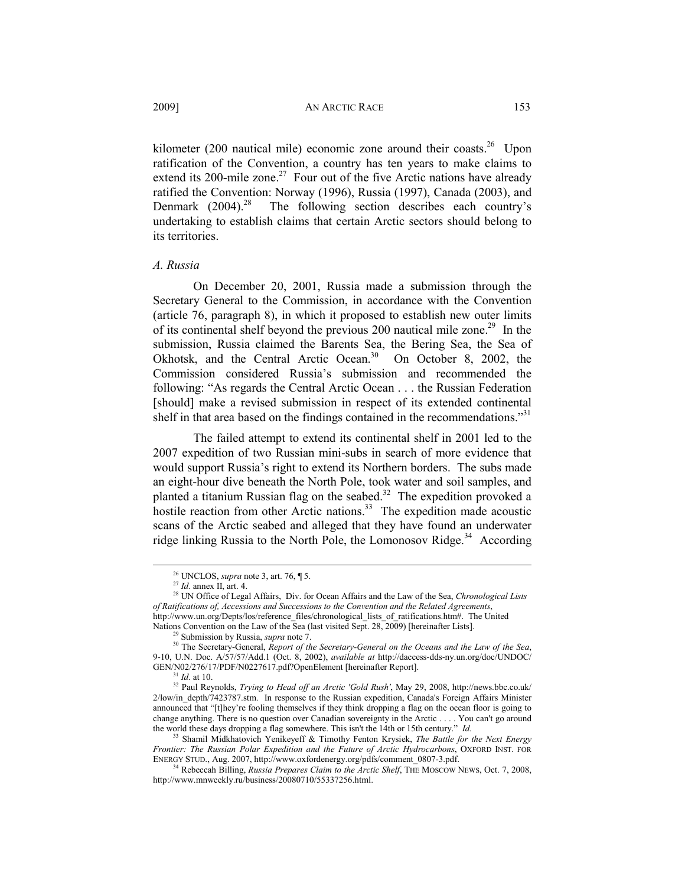kilometer (200 nautical mile) economic zone around their coasts.<sup>26</sup> Upon ratification of the Convention, a country has ten years to make claims to extend its 200-mile zone.<sup>27</sup> Four out of the five Arctic nations have already ratified the Convention: Norway (1996), Russia (1997), Canada (2003), and Denmark  $(2004)^{28}$  The following section describes each country's undertaking to establish claims that certain Arctic sectors should belong to its territories.

#### *A. Russia*

On December 20, 2001, Russia made a submission through the Secretary General to the Commission, in accordance with the Convention (article 76, paragraph 8), in which it proposed to establish new outer limits of its continental shelf beyond the previous 200 nautical mile zone.<sup>29</sup> In the submission, Russia claimed the Barents Sea, the Bering Sea, the Sea of Okhotsk, and the Central Arctic Ocean.<sup>30</sup> On October 8, 2002, the Commission considered Russia's submission and recommended the following: "As regards the Central Arctic Ocean . . . the Russian Federation [should] make a revised submission in respect of its extended continental shelf in that area based on the findings contained in the recommendations."<sup>31</sup>

The failed attempt to extend its continental shelf in 2001 led to the 2007 expedition of two Russian mini-subs in search of more evidence that would support Russia's right to extend its Northern borders. The subs made an eight-hour dive beneath the North Pole, took water and soil samples, and planted a titanium Russian flag on the seabed.<sup>32</sup> The expedition provoked a hostile reaction from other Arctic nations.<sup>33</sup> The expedition made acoustic scans of the Arctic seabed and alleged that they have found an underwater ridge linking Russia to the North Pole, the Lomonosov Ridge.<sup>34</sup> According

 <sup>26</sup> UNCLOS, *supra* note 3, art. 76, ¶ 5. 27 *Id.* annex II, art. 4. 28 UN Office of Legal Affairs, Div. for Ocean Affairs and the Law of the Sea, *Chronological Lists of Ratifications of, Accessions and Successions to the Convention and the Related Agreements*, http://www.un.org/Depts/los/reference\_files/chronological\_lists\_of\_ratifications.htm#. The United Nations Convention on the Law of the Sea (last visited Sept. 28, 2009) [hereinafter Lists].

<sup>&</sup>lt;sup>29</sup> Submission by Russia, *supra* note  $7$ .<br><sup>30</sup> The Secretary-General, *Report of the Secretary-General on the Oceans and the Law of the Sea*, 9-10, U.N. Doc. A/57/57/Add.1 (Oct. 8, 2002), *available at* http://daccess-dds-ny.un.org/doc/UNDOC/ GEN/N02/276/17/PDF/N0227617.pdf?OpenElement [hereinafter Report].<br><sup>31</sup> *Id.* at 10. <sup>32</sup> Paul Reynolds, *Trying to Head off an Arctic 'Gold Rush'*, May 29, 2008, http://news.bbc.co.uk/

<sup>2/</sup>low/in\_depth/7423787.stm. In response to the Russian expedition, Canada's Foreign Affairs Minister announced that "[t]hey're fooling themselves if they think dropping a flag on the ocean floor is going to change anything. There is no question over Canadian sovereignty in the Arctic . . . . You can't go around the world these days dropping a flag somewhere. This isn't the 14th or 15th century."  $Id$ .

<sup>&</sup>lt;sup>33</sup> Shamil Midkhatovich Yenikeyeff & Timothy Fenton Krysiek, *The Battle for the Next Energy Frontier: The Russian Polar Expedition and the Future of Arctic Hydrocarbons*, OXFORD INST. FOR ENERGY STUD., Aug. 2007, http://www.oxfordenergy.org/pdfs/comment\_0807-3.pdf. 34 Rebeccah Billing, *Russia Prepares Claim to the Arctic Shelf*, THE MOSCOW NEWS, Oct. 7, 2008,

http://www.mnweekly.ru/business/20080710/55337256.html.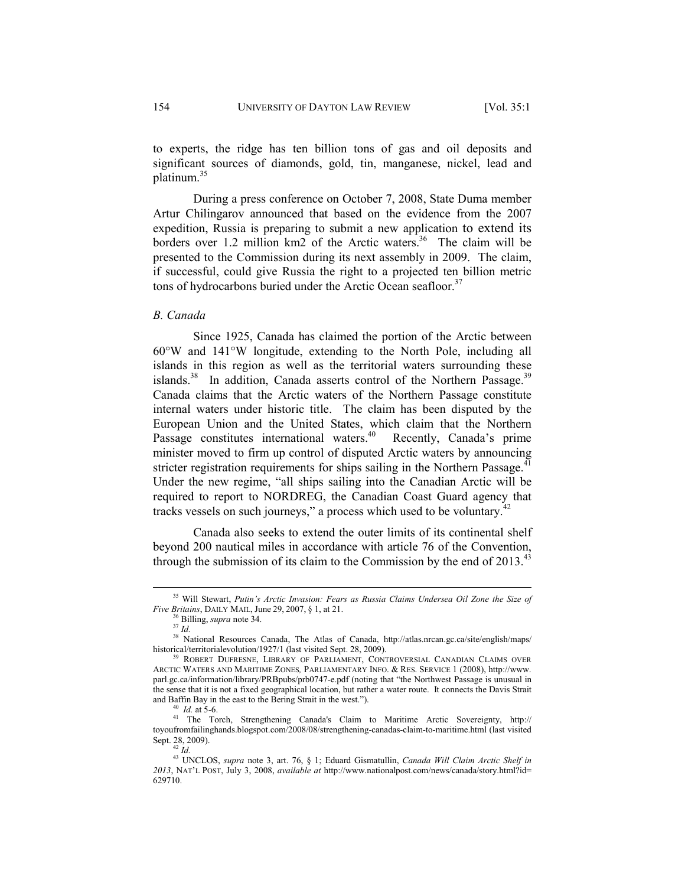to experts, the ridge has ten billion tons of gas and oil deposits and significant sources of diamonds, gold, tin, manganese, nickel, lead and platinum.<sup>35</sup>

During a press conference on October 7, 2008, State Duma member Artur Chilingarov announced that based on the evidence from the 2007 expedition, Russia is preparing to submit a new application to extend its borders over 1.2 million  $km2$  of the Arctic waters.<sup>36</sup> The claim will be presented to the Commission during its next assembly in 2009. The claim, if successful, could give Russia the right to a projected ten billion metric tons of hydrocarbons buried under the Arctic Ocean seafloor.<sup>37</sup>

#### *B. Canada*

Since 1925, Canada has claimed the portion of the Arctic between 60°W and 141°W longitude, extending to the North Pole, including all islands in this region as well as the territorial waters surrounding these islands.<sup>38</sup> In addition, Canada asserts control of the Northern Passage.<sup>39</sup> Canada claims that the Arctic waters of the Northern Passage constitute internal waters under historic title. The claim has been disputed by the European Union and the United States, which claim that the Northern Passage constitutes international waters.<sup>40</sup> Recently, Canada's prime minister moved to firm up control of disputed Arctic waters by announcing stricter registration requirements for ships sailing in the Northern Passage.<sup>41</sup> Under the new regime, "all ships sailing into the Canadian Arctic will be required to report to NORDREG, the Canadian Coast Guard agency that tracks vessels on such journeys," a process which used to be voluntary.<sup>4</sup>

Canada also seeks to extend the outer limits of its continental shelf beyond 200 nautical miles in accordance with article 76 of the Convention, through the submission of its claim to the Commission by the end of  $2013<sup>43</sup>$ 

<sup>&</sup>lt;sup>35</sup> Will Stewart, *Putin's Arctic Invasion: Fears as Russia Claims Undersea Oil Zone the Size of Five Britains, DAILY MAIL, June 29, 2007, § 1, at 21.* 

<sup>&</sup>lt;sup>36</sup> Billing, *supra* note 34.<br><sup>37</sup> *Id.* 38 National Resources Canada, The Atlas of Canada, http://atlas.nrcan.gc.ca/site/english/maps/ historical/territorialevolution/1927/1 (last visited Sept. 28, 2009).<br><sup>39</sup> ROBERT DUFRESNE, LIBRARY OF PARLIAMENT, CONTROVERSIAL CANADIAN CLAIMS OVER

ARCTIC WATERS AND MARITIME ZONES*,* PARLIAMENTARY INFO. & RES. SERVICE 1 (2008), http://www. parl.gc.ca/information/library/PRBpubs/prb0747-e.pdf (noting that "the Northwest Passage is unusual in the sense that it is not a fixed geographical location, but rather a water route. It connects the Davis Strait and Baffin Bay in the east to the Bering Strait in the west.").

<sup>&</sup>lt;sup>40</sup> Id. at 5-6.<br><sup>41</sup> The Torch, Strengthening Canada's Claim to Maritime Arctic Sovereignty, http:// toyoufromfailinghands.blogspot.com/2008/08/strengthening-canadas-claim-to-maritime.html (last visited Sept. 28, 2009).<br>  $42$  *Id.* 

<sup>&</sup>lt;sup>43</sup> UNCLOS, *supra* note 3, art. 76, § 1; Eduard Gismatullin, *Canada Will Claim Arctic Shelf in 2013*, NAT'L POST, July 3, 2008, *available at* http://www.nationalpost.com/news/canada/story.html?id= 629710.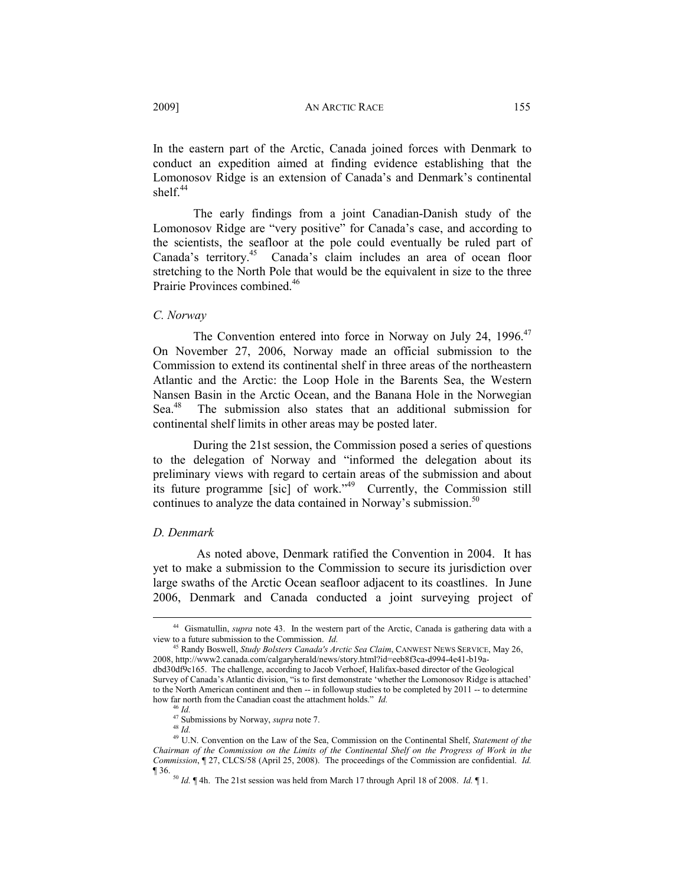In the eastern part of the Arctic, Canada joined forces with Denmark to conduct an expedition aimed at finding evidence establishing that the Lomonosov Ridge is an extension of Canada's and Denmark's continental shelf. $44$ 

The early findings from a joint Canadian-Danish study of the Lomonosov Ridge are "very positive" for Canada's case, and according to the scientists, the seafloor at the pole could eventually be ruled part of Canada's territory.<sup>45</sup> Canada's claim includes an area of ocean floor stretching to the North Pole that would be the equivalent in size to the three Prairie Provinces combined.46

#### *C. Norway*

The Convention entered into force in Norway on July 24, 1996.<sup>47</sup> On November 27, 2006, Norway made an official submission to the Commission to extend its continental shelf in three areas of the northeastern Atlantic and the Arctic: the Loop Hole in the Barents Sea, the Western Nansen Basin in the Arctic Ocean, and the Banana Hole in the Norwegian Sea.<sup>48</sup> The submission also states that an additional submission for continental shelf limits in other areas may be posted later.

During the 21st session, the Commission posed a series of questions to the delegation of Norway and "informed the delegation about its preliminary views with regard to certain areas of the submission and about its future programme [sic] of work."49 Currently, the Commission still continues to analyze the data contained in Norway's submission.<sup>50</sup>

#### *D. Denmark*

As noted above, Denmark ratified the Convention in 2004. It has yet to make a submission to the Commission to secure its jurisdiction over large swaths of the Arctic Ocean seafloor adjacent to its coastlines. In June 2006, Denmark and Canada conducted a joint surveying project of

 <sup>44</sup> Gismatullin, *supra* note 43. In the western part of the Arctic, Canada is gathering data with a view to a future submission to the Commission. *Id.* 

<sup>45</sup> Randy Boswell, *Study Bolsters Canada's Arctic Sea Claim*, CANWEST NEWS SERVICE, May 26, 2008, http://www2.canada.com/calgaryherald/news/story.html?id=eeb8f3ca-d994-4e41-b19adbd30df9c165. The challenge, according to Jacob Verhoef, Halifax-based director of the Geological Survey of Canada's Atlantic division, "is to first demonstrate 'whether the Lomonosov Ridge is attached' to the North American continent and then  $-$  in followup studies to be completed by 2011  $-$  to determine how far north from the Canadian coast the attachment holds." *Id.* 

<sup>&</sup>lt;sup>46</sup> *Id.*<br><sup>47</sup> Submissions by Norway, *supra* note 7.<br><sup>48</sup> *Id.*<br><sup>49</sup> U.N. Convention on the Law of the Sea, Commission on the Continental Shelf, *Statement of the Chairman of the Commission on the Limits of the Continental Shelf on the Progress of Work in the Commission*, ¶ 27, CLCS/58 (April 25, 2008). The proceedings of the Commission are confidential. *Id.*  ¶ 36. 50 *Id.* ¶ 4h. The 21st session was held from March 17 through April 18 of 2008. *Id.* ¶ 1.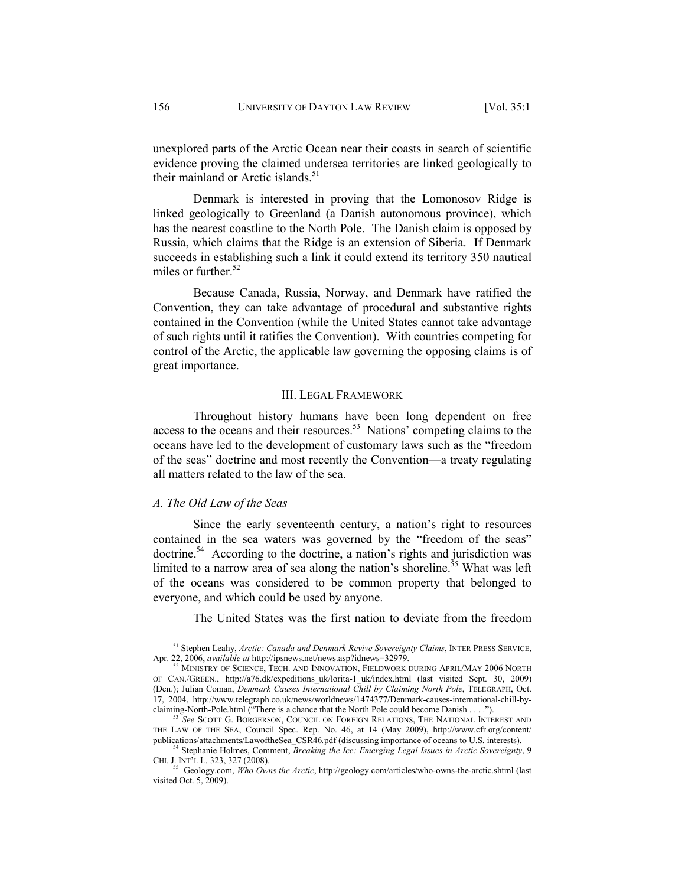unexplored parts of the Arctic Ocean near their coasts in search of scientific evidence proving the claimed undersea territories are linked geologically to their mainland or Arctic islands. $51$ 

Denmark is interested in proving that the Lomonosov Ridge is linked geologically to Greenland (a Danish autonomous province), which has the nearest coastline to the North Pole. The Danish claim is opposed by Russia, which claims that the Ridge is an extension of Siberia. If Denmark succeeds in establishing such a link it could extend its territory 350 nautical miles or further. $52$ 

Because Canada, Russia, Norway, and Denmark have ratified the Convention, they can take advantage of procedural and substantive rights contained in the Convention (while the United States cannot take advantage of such rights until it ratifies the Convention). With countries competing for control of the Arctic, the applicable law governing the opposing claims is of great importance.

#### III. LEGAL FRAMEWORK

Throughout history humans have been long dependent on free access to the oceans and their resources. $5<sup>3</sup>$  Nations' competing claims to the oceans have led to the development of customary laws such as the "freedom of the seas" doctrine and most recently the Convention—a treaty regulating all matters related to the law of the sea.

#### *A. The Old Law of the Seas*

Since the early seventeenth century, a nation's right to resources contained in the sea waters was governed by the "freedom of the seas" doctrine.54 According to the doctrine, a nation's rights and jurisdiction was limited to a narrow area of sea along the nation's shoreline.<sup>55</sup> What was left of the oceans was considered to be common property that belonged to everyone, and which could be used by anyone.

The United States was the first nation to deviate from the freedom

 <sup>51</sup> Stephen Leahy, *Arctic: Canada and Denmark Revive Sovereignty Claims*, INTER PRESS SERVICE, Apr. 22, 2006, *available at* http://ipsnews.net/news.asp?idnews=32979.<br><sup>52</sup> MINISTRY OF SCIENCE, TECH. AND INNOVATION, FIELDWORK DURING APRIL/MAY 2006 NORTH

OF CAN./GREEN., http://a76.dk/expeditions\_uk/lorita-1\_uk/index.html (last visited Sept. 30, 2009) (Den.); Julian Coman, *Denmark Causes International Chill by Claiming North Pole*, TELEGRAPH, Oct. 17, 2004, http://www.telegraph.co.uk/news/worldnews/1474377/Denmark-causes-international-chill-by-<br>claiming-North-Pole.html ("There is a chance that the North Pole could become Danish ....").

<sup>&</sup>lt;sup>3</sup> See SCOTT G. BORGERSON, COUNCIL ON FOREIGN RELATIONS, THE NATIONAL INTEREST AND THE LAW OF THE SEA, Council Spec. Rep. No. 46, at 14 (May 2009), http://www.cfr.org/content/

publications/attachments/LawoftheSea\_CSR46.pdf (discussing importance of oceans to U.S. interests).<br><sup>54</sup> Stephanie Holmes, Comment, *Breaking the Ice: Emerging Legal Issues in Arctic Sovereignty*, 9<br>CHI. J<sub>.</sub> INT'L L. 323, <sup>55</sup> Geology.com, *Who Owns the Arctic*, http://geology.com/articles/who-owns-the-arctic.shtml (last

visited Oct. 5, 2009).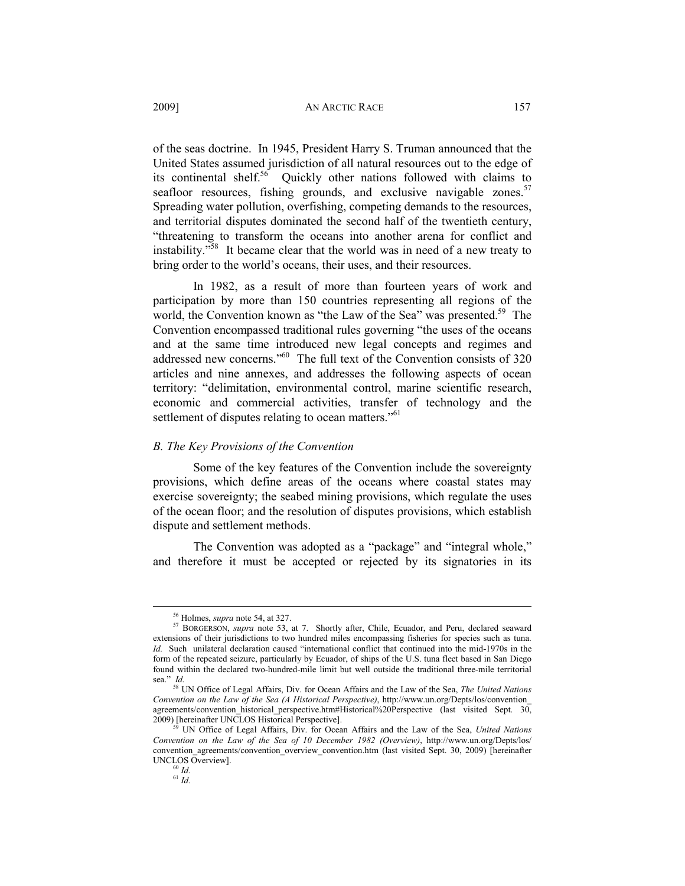of the seas doctrine. In 1945, President Harry S. Truman announced that the United States assumed jurisdiction of all natural resources out to the edge of its continental shelf.<sup>56</sup> Quickly other nations followed with claims to seafloor resources, fishing grounds, and exclusive navigable zones.<sup>57</sup> Spreading water pollution, overfishing, competing demands to the resources, and territorial disputes dominated the second half of the twentieth century, "threatening to transform the oceans into another arena for conflict and instability."58 It became clear that the world was in need of a new treaty to bring order to the world's oceans, their uses, and their resources.

In 1982, as a result of more than fourteen years of work and participation by more than 150 countries representing all regions of the world, the Convention known as "the Law of the Sea" was presented.<sup>59</sup> The Convention encompassed traditional rules governing "the uses of the oceans and at the same time introduced new legal concepts and regimes and addressed new concerns."60 The full text of the Convention consists of 320 articles and nine annexes, and addresses the following aspects of ocean territory: "delimitation, environmental control, marine scientific research, economic and commercial activities, transfer of technology and the settlement of disputes relating to ocean matters."<sup>61</sup>

### *B. The Key Provisions of the Convention*

Some of the key features of the Convention include the sovereignty provisions, which define areas of the oceans where coastal states may exercise sovereignty; the seabed mining provisions, which regulate the uses of the ocean floor; and the resolution of disputes provisions, which establish dispute and settlement methods.

The Convention was adopted as a "package" and "integral whole," and therefore it must be accepted or rejected by its signatories in its

<sup>&</sup>lt;sup>56</sup> Holmes, *supra* note 54, at 327.<br><sup>57</sup> BORGERSON, *supra* note 53, at 7. Shortly after, Chile, Ecuador, and Peru, declared seaward extensions of their jurisdictions to two hundred miles encompassing fisheries for species such as tuna. *Id.* Such unilateral declaration caused "international conflict that continued into the mid-1970s in the form of the repeated seizure, particularly by Ecuador, of ships of the U.S. tuna fleet based in San Diego found within the declared two-hundred-mile limit but well outside the traditional three-mile territorial sea." *Id.* 

<sup>58</sup> UN Office of Legal Affairs, Div. for Ocean Affairs and the Law of the Sea, *The United Nations Convention on the Law of the Sea (A Historical Perspective)*, http://www.un.org/Depts/los/convention\_ agreements/convention\_historical\_perspective.htm#Historical%20Perspective (last visited Sept. 30, 2009) [hereinafter UNCLOS Historical Perspective]. 59 UN Office of Legal Affairs, Div. for Ocean Affairs and the Law of the Sea, *United Nations* 

*Convention on the Law of the Sea of 10 December 1982 (Overview)*, http://www.un.org/Depts/los/ convention agreements/convention overview convention.htm (last visited Sept. 30, 2009) [hereinafter UNCLOS Overview].<br><sup>60</sup> *Id.*<br><sup>61</sup> *Id.*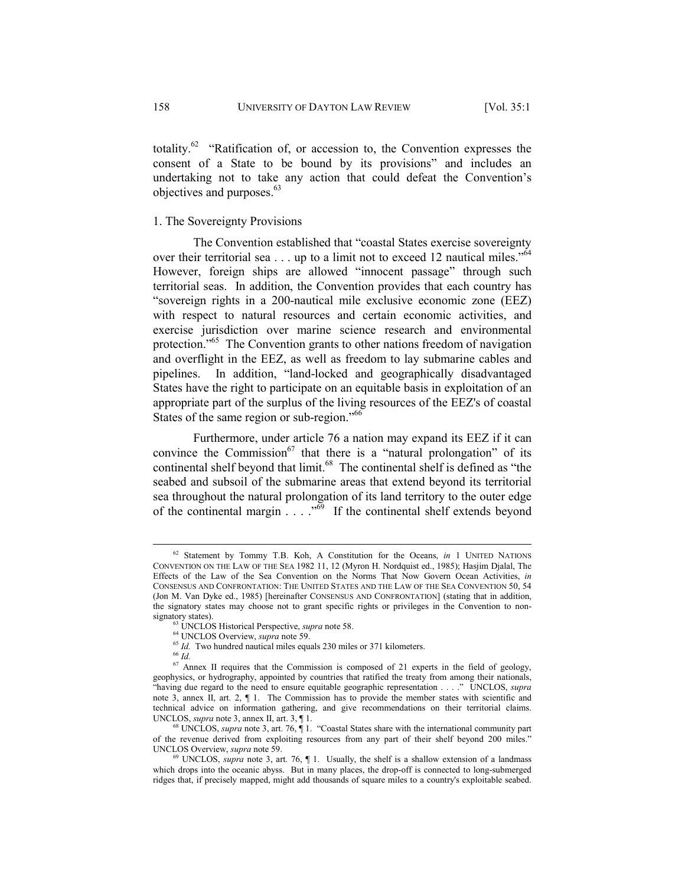totality.<sup>62</sup> "Ratification of, or accession to, the Convention expresses the consent of a State to be bound by its provisions" and includes an undertaking not to take any action that could defeat the Convention's objectives and purposes.63

#### 1. The Sovereignty Provisions

The Convention established that "coastal States exercise sovereignty over their territorial sea . . . up to a limit not to exceed 12 nautical miles."<sup>64</sup> However, foreign ships are allowed "innocent passage" through such territorial seas. In addition, the Convention provides that each country has "sovereign rights in a 200-nautical mile exclusive economic zone (EEZ) with respect to natural resources and certain economic activities, and exercise jurisdiction over marine science research and environmental protection."<sup>65</sup> The Convention grants to other nations freedom of navigation and overflight in the EEZ, as well as freedom to lay submarine cables and pipelines. In addition, "land-locked and geographically disadvantaged States have the right to participate on an equitable basis in exploitation of an appropriate part of the surplus of the living resources of the EEZ's of coastal States of the same region or sub-region."<sup>66</sup>

Furthermore, under article 76 a nation may expand its EEZ if it can convince the Commission $67$  that there is a "natural prolongation" of its continental shelf beyond that limit.<sup>68</sup> The continental shelf is defined as "the seabed and subsoil of the submarine areas that extend beyond its territorial sea throughout the natural prolongation of its land territory to the outer edge of the continental margin  $\ldots$  . . .<sup>569</sup> If the continental shelf extends beyond

 <sup>62</sup> Statement by Tommy T.B. Koh, A Constitution for the Oceans, *in* 1 UNITED NATIONS CONVENTION ON THE LAW OF THE SEA 1982 11, 12 (Myron H. Nordquist ed., 1985); Hasjim Djalal, The Effects of the Law of the Sea Convention on the Norms That Now Govern Ocean Activities, *in*  CONSENSUS AND CONFRONTATION: THE UNITED STATES AND THE LAW OF THE SEA CONVENTION 50, 54 (Jon M. Van Dyke ed., 1985) [hereinafter CONSENSUS AND CONFRONTATION] (stating that in addition, the signatory states may choose not to grant specific rights or privileges in the Convention to non-

signatory states).<br><sup>63</sup> UNCLOS Historical Perspective, *supra* note 58.<br><sup>64</sup> UNCLOS Overview, *supra* note 59.<br><sup>65</sup> *Id.* Two hundred nautical miles equals 230 miles or 371 kilometers.<br><sup>66</sup> *Id.* 

 $\frac{67}{67}$  Annex II requires that the Commission is composed of 21 experts in the field of geology, geophysics, or hydrography, appointed by countries that ratified the treaty from among their nationals, "having due regard to the need to ensure equitable geographic representation . . . ." UNCLOS, *supra* note 3, annex II, art. 2,  $\P$  1. The Commission has to provide the member states with scientific and technical advice on information gathering, and give recommendations on their territorial claims.<br>UNCLOS, *supra* note 3, annex II, art.  $3$ ,  $\P$  1.

<sup>&</sup>lt;sup>88</sup> UNCLOS, *supra* note 3, art. 76,  $\P$ 1. "Coastal States share with the international community part of the revenue derived from exploiting resources from any part of their shelf beyond 200 miles." UNCLOS Overview, *supra* note 59.<br><sup>69</sup> UNCLOS, *supra* note 3, art. 76, ¶ 1. Usually, the shelf is a shallow extension of a landmass

which drops into the oceanic abyss. But in many places, the drop-off is connected to long-submerged ridges that, if precisely mapped, might add thousands of square miles to a country's exploitable seabed.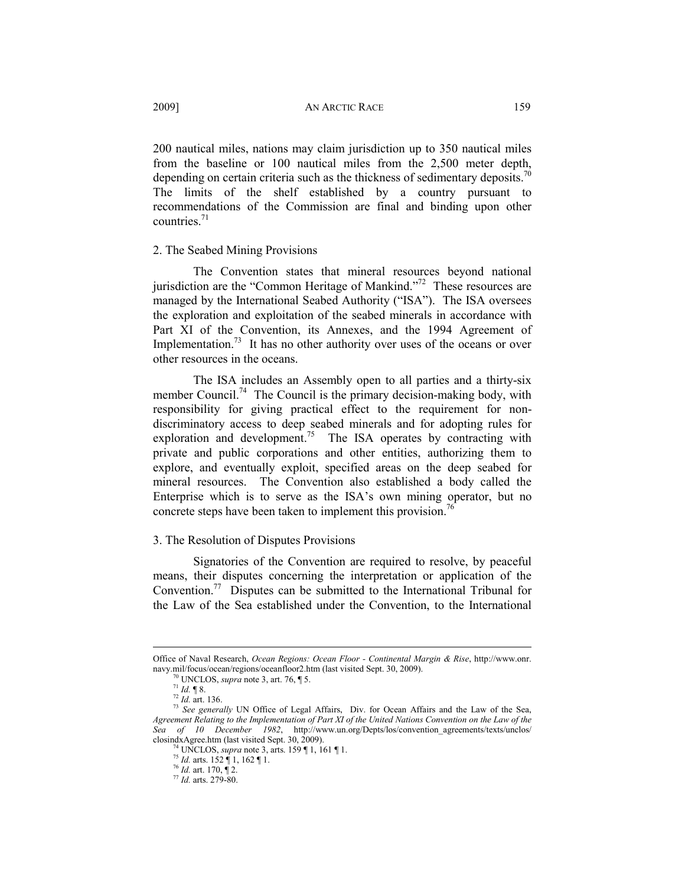2009] AN ARCTIC RACE 2009 2009

200 nautical miles, nations may claim jurisdiction up to 350 nautical miles from the baseline or 100 nautical miles from the 2,500 meter depth, depending on certain criteria such as the thickness of sedimentary deposits.<sup>70</sup> The limits of the shelf established by a country pursuant to recommendations of the Commission are final and binding upon other countries. $71$ 

### 2. The Seabed Mining Provisions

The Convention states that mineral resources beyond national jurisdiction are the "Common Heritage of Mankind."72 These resources are managed by the International Seabed Authority ("ISA"). The ISA oversees the exploration and exploitation of the seabed minerals in accordance with Part XI of the Convention, its Annexes, and the 1994 Agreement of Implementation.<sup>73</sup> It has no other authority over uses of the oceans or over other resources in the oceans.

The ISA includes an Assembly open to all parties and a thirty-six member Council.<sup>74</sup> The Council is the primary decision-making body, with responsibility for giving practical effect to the requirement for nondiscriminatory access to deep seabed minerals and for adopting rules for exploration and development.<sup>75</sup> The ISA operates by contracting with private and public corporations and other entities, authorizing them to explore, and eventually exploit, specified areas on the deep seabed for mineral resources. The Convention also established a body called the Enterprise which is to serve as the ISA's own mining operator, but no concrete steps have been taken to implement this provision.<sup>76</sup>

#### 3. The Resolution of Disputes Provisions

Signatories of the Convention are required to resolve, by peaceful means, their disputes concerning the interpretation or application of the Convention.77 Disputes can be submitted to the International Tribunal for the Law of the Sea established under the Convention, to the International

 $\overline{a}$ 

Office of Naval Research, *Ocean Regions: Ocean Floor - Continental Margin & Rise*, http://www.onr. navy.mil/focus/ocean/regions/oceanfloor2.htm (last visited Sept. 30, 2009).<br><sup>70</sup> UNCLOS, *supra* note 3, art. 76,  $\P$  5.<br><sup>71</sup> *Id.*  $\P$  8.<br><sup>72</sup> *Id.* art. 136.<br><sup>73</sup> *See generally* UN Office of Legal Affairs, Div. for Oce

*Agreement Relating to the Implementation of Part XI of the United Nations Convention on the Law of the Sea of 10 December 1982*, http://www.un.org/Depts/los/convention\_agreements/texts/unclos/

<sup>&</sup>lt;sup>74</sup> UNCLOS, *supra* note 3, arts. 159 ¶ 1, 161 ¶ 1.<br><sup>75</sup> *Id.* arts. 152 ¶ 1, 162 ¶ 1.<br><sup>76</sup> *Id.* art. 170, ¶ 2.<br><sup>77</sup> *Id.* arts. 279-80.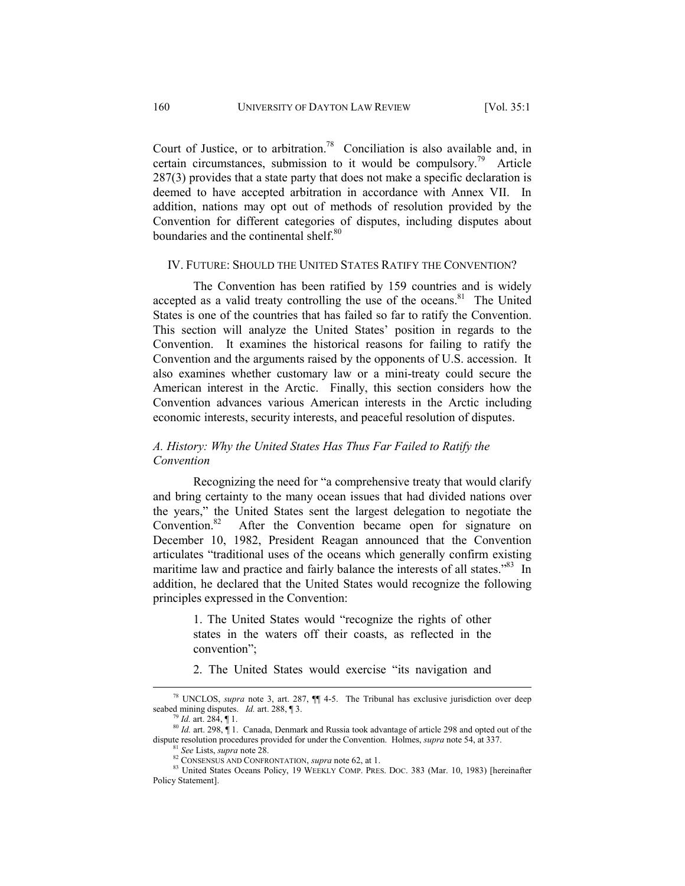Court of Justice, or to arbitration.<sup>78</sup> Conciliation is also available and, in certain circumstances, submission to it would be compulsory.<sup>79</sup> Article 287(3) provides that a state party that does not make a specific declaration is deemed to have accepted arbitration in accordance with Annex VII. In addition, nations may opt out of methods of resolution provided by the Convention for different categories of disputes, including disputes about boundaries and the continental shelf.<sup>80</sup>

# IV. FUTURE: SHOULD THE UNITED STATES RATIFY THE CONVENTION?

The Convention has been ratified by 159 countries and is widely accepted as a valid treaty controlling the use of the oceans.<sup>81</sup> The United States is one of the countries that has failed so far to ratify the Convention. This section will analyze the United States' position in regards to the Convention. It examines the historical reasons for failing to ratify the Convention and the arguments raised by the opponents of U.S. accession. It also examines whether customary law or a mini-treaty could secure the American interest in the Arctic. Finally, this section considers how the Convention advances various American interests in the Arctic including economic interests, security interests, and peaceful resolution of disputes.

# *A. History: Why the United States Has Thus Far Failed to Ratify the Convention*

Recognizing the need for "a comprehensive treaty that would clarify and bring certainty to the many ocean issues that had divided nations over the years," the United States sent the largest delegation to negotiate the Convention. $82$  After the Convention became open for signature on December 10, 1982, President Reagan announced that the Convention articulates "traditional uses of the oceans which generally confirm existing maritime law and practice and fairly balance the interests of all states.<sup>83</sup> In addition, he declared that the United States would recognize the following principles expressed in the Convention:

> 1. The United States would "recognize the rights of other states in the waters off their coasts, as reflected in the convention";

> 2. The United States would exercise "its navigation and

<sup>&</sup>lt;sup>78</sup> UNCLOS, *supra* note 3, art. 287,  $\parallel$  4-5. The Tribunal has exclusive jurisdiction over deep seabed mining disputes. *Id.* art. 288,  $\parallel$  3.

<sup>&</sup>lt;sup>79</sup> *Id.* art. 284, ¶ 1.<br><sup>80</sup> *Id.* art. 298, ¶ 1. Canada, Denmark and Russia took advantage of article 298 and opted out of the dispute resolution procedures provided for under the Convention. Holmes, *supra* note 54, at

<sup>&</sup>lt;sup>81</sup> See Lists, *supra* note 28.<br><sup>82</sup> CONSENSUS AND CONFRONTATION, *supra* note 62, at 1.<br><sup>83</sup> United States Oceans Policy, 19 WEEKLY COMP. PRES. DOC. 383 (Mar. 10, 1983) [hereinafter Policy Statement].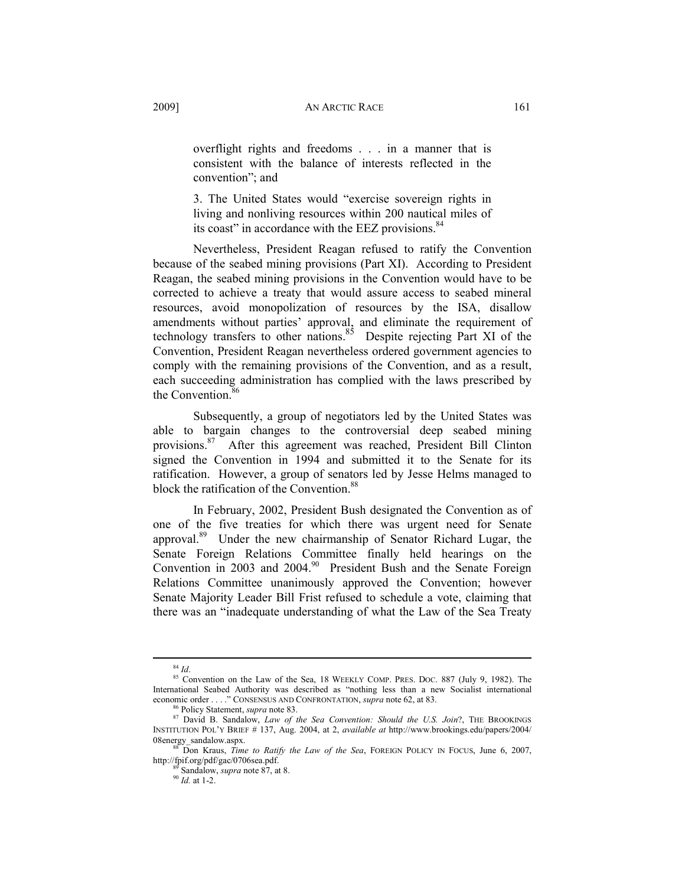overflight rights and freedoms . . . in a manner that is consistent with the balance of interests reflected in the convention"; and

3. The United States would "exercise sovereign rights in living and nonliving resources within 200 nautical miles of its coast" in accordance with the EEZ provisions.<sup>84</sup>

Nevertheless, President Reagan refused to ratify the Convention because of the seabed mining provisions (Part XI). According to President Reagan, the seabed mining provisions in the Convention would have to be corrected to achieve a treaty that would assure access to seabed mineral resources, avoid monopolization of resources by the ISA, disallow amendments without parties' approval, and eliminate the requirement of technology transfers to other nations. $85$  Despite rejecting Part XI of the Convention, President Reagan nevertheless ordered government agencies to comply with the remaining provisions of the Convention, and as a result, each succeeding administration has complied with the laws prescribed by the Convention $86$ 

Subsequently, a group of negotiators led by the United States was able to bargain changes to the controversial deep seabed mining provisions.<sup>87</sup> After this agreement was reached, President Bill Clinton signed the Convention in 1994 and submitted it to the Senate for its ratification. However, a group of senators led by Jesse Helms managed to block the ratification of the Convention.<sup>88</sup>

In February, 2002, President Bush designated the Convention as of one of the five treaties for which there was urgent need for Senate approval.<sup>89</sup> Under the new chairmanship of Senator Richard Lugar, the Senate Foreign Relations Committee finally held hearings on the Convention in 2003 and 2004. $90$  President Bush and the Senate Foreign Relations Committee unanimously approved the Convention; however Senate Majority Leader Bill Frist refused to schedule a vote, claiming that there was an "inadequate understanding of what the Law of the Sea Treaty

<sup>&</sup>lt;sup>84</sup> *Id*. 85 Convention on the Law of the Sea, 18 WEEKLY COMP. PRES. DOC. 887 (July 9, 1982). The International Seabed Authority was described as "nothing less than a new Socialist international economic order ...." CONSENSUS AND CONFRONTATION, *supra* note 62, at 83.

<sup>&</sup>lt;sup>86</sup> Policy Statement, *supra* note 83.<br><sup>87</sup> David B. Sandalow, *Law of the Sea Convention: Should the U.S. Join*?, THE BROOKINGS INSTITUTION POL'Y BRIEF # 137, Aug. 2004, at 2, *available at* http://www.brookings.edu/papers/2004/

<sup>&</sup>lt;sup>88</sup> Don Kraus, *Time to Ratify the Law of the Sea*, FOREIGN POLICY IN FOCUS, June 6, 2007, http://fpif.org/pdf/gac/0706sea.pdf.

 $\frac{89}{90}$  Sandalow, *supra* note 87, at 8. 90 *Id.* at 1-2.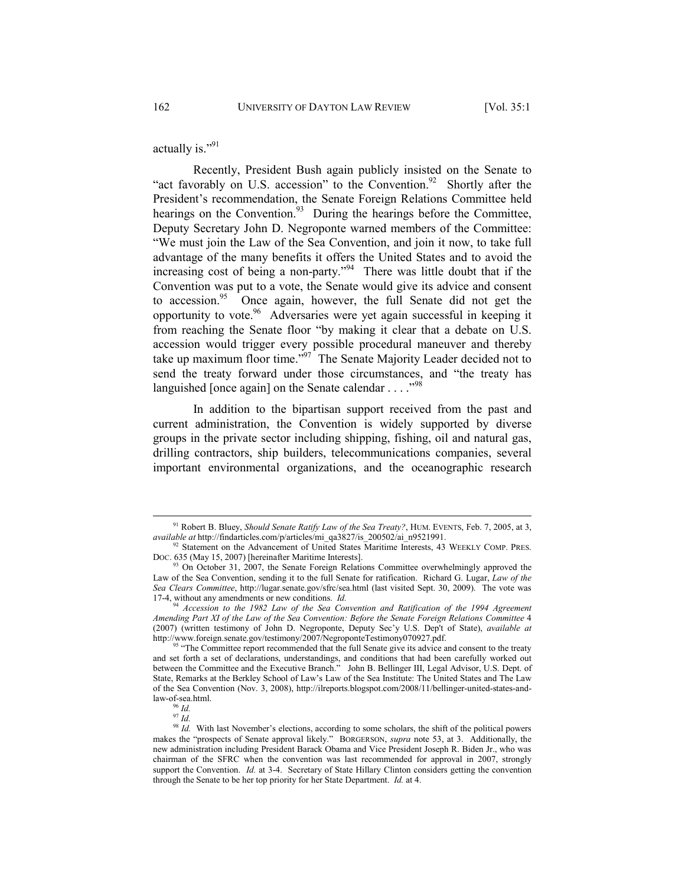actually is."<sup>91</sup>

Recently, President Bush again publicly insisted on the Senate to "act favorably on U.S. accession" to the Convention. $92$  Shortly after the President's recommendation, the Senate Foreign Relations Committee held hearings on the Convention. $93$  During the hearings before the Committee, Deputy Secretary John D. Negroponte warned members of the Committee: "We must join the Law of the Sea Convention, and join it now, to take full advantage of the many benefits it offers the United States and to avoid the increasing cost of being a non-party."<sup>94</sup> There was little doubt that if the Convention was put to a vote, the Senate would give its advice and consent to accession.<sup>95</sup> Once again, however, the full Senate did not get the opportunity to vote.96 Adversaries were yet again successful in keeping it from reaching the Senate floor "by making it clear that a debate on U.S. accession would trigger every possible procedural maneuver and thereby take up maximum floor time." $97 \text{ T}$  The Senate Majority Leader decided not to send the treaty forward under those circumstances, and "the treaty has languished [once again] on the Senate calendar  $\dots$  ...<sup>998</sup>

In addition to the bipartisan support received from the past and current administration, the Convention is widely supported by diverse groups in the private sector including shipping, fishing, oil and natural gas, drilling contractors, ship builders, telecommunications companies, several important environmental organizations, and the oceanographic research

<sup>&</sup>lt;sup>91</sup> Robert B. Bluey, *Should Senate Ratify Law of the Sea Treaty?*, HUM. EVENTS, Feb. 7, 2005, at 3, *available at http://findarticles.com/p/articles/mi qa3827/is 200502/ai n9521991*.

<sup>&</sup>lt;sup>92</sup> Statement on the Advancement of United States Maritime Interests, 43 WEEKLY COMP. PRES. DOC. 635 (May 15, 2007) [hereinafter Maritime Interests].

On October 31, 2007, the Senate Foreign Relations Committee overwhelmingly approved the Law of the Sea Convention, sending it to the full Senate for ratification. Richard G. Lugar, *Law of the*  Sea Clears Committee, http://lugar.senate.gov/sfrc/sea.html (last visited Sept. 30, 2009). The vote was 17-4, without any amendments or new conditions. *Id*.

Accession to the 1982 Law of the Sea Convention and Ratification of the 1994 Agreement *Amending Part XI of the Law of the Sea Convention: Before the Senate Foreign Relations Committee* 4 (2007) (written testimony of John D. Negroponte, Deputy Sec'y U.S. Dep't of State), *available at*

<sup>&</sup>lt;sup>95</sup> "The Committee report recommended that the full Senate give its advice and consent to the treaty and set forth a set of declarations, understandings, and conditions that had been carefully worked out between the Committee and the Executive Branch." John B. Bellinger III, Legal Advisor, U.S. Dept. of State, Remarks at the Berkley School of Law's Law of the Sea Institute: The United States and The Law of the Sea Convention (Nov. 3, 2008), http://ilreports.blogspot.com/2008/11/bellinger-united-states-and-<br>law-of-sea.html.<br><sup>96</sup> Id.

<sup>&</sup>lt;sup>or</sup> *Id.*<br><sup>97</sup> *Id.*<br><sup>98</sup> *Id.* With last November's elections, according to some scholars, the shift of the political powers makes the "prospects of Senate approval likely." BORGERSON, *supra* note 53, at 3. Additionally, the new administration including President Barack Obama and Vice President Joseph R. Biden Jr., who was chairman of the SFRC when the convention was last recommended for approval in 2007, strongly support the Convention. *Id.* at 3-4. Secretary of State Hillary Clinton considers getting the convention through the Senate to be her top priority for her State Department. *Id.* at 4.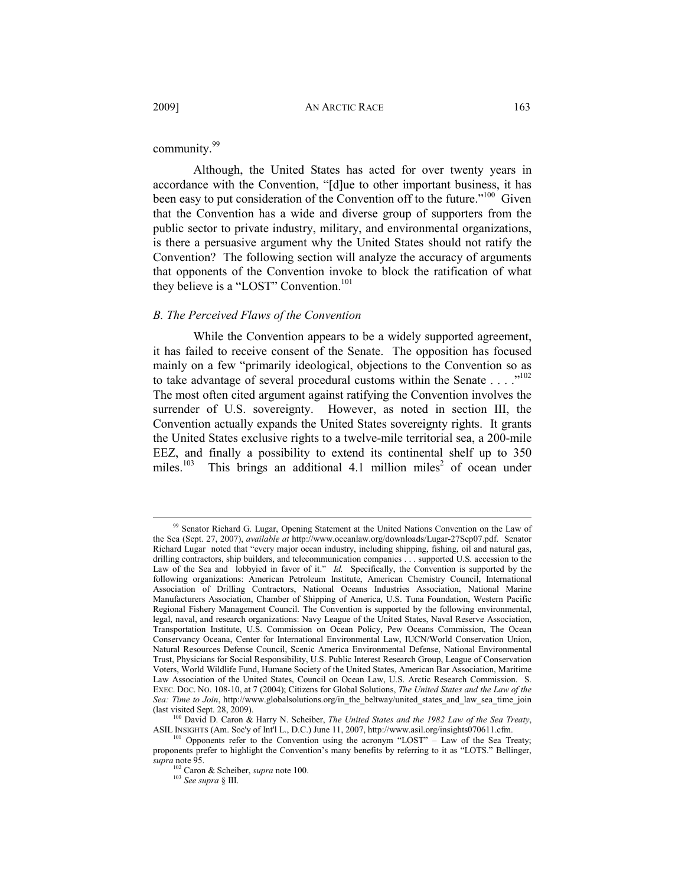# community.<sup>99</sup>

Although, the United States has acted for over twenty years in accordance with the Convention, "[d]ue to other important business, it has been easy to put consideration of the Convention off to the future."<sup>100</sup> Given that the Convention has a wide and diverse group of supporters from the public sector to private industry, military, and environmental organizations, is there a persuasive argument why the United States should not ratify the Convention? The following section will analyze the accuracy of arguments that opponents of the Convention invoke to block the ratification of what they believe is a "LOST" Convention.<sup>101</sup>

### *B. The Perceived Flaws of the Convention*

While the Convention appears to be a widely supported agreement, it has failed to receive consent of the Senate. The opposition has focused mainly on a few "primarily ideological, objections to the Convention so as to take advantage of several procedural customs within the Senate . . . ."<sup>102</sup> The most often cited argument against ratifying the Convention involves the surrender of U.S. sovereignty. However, as noted in section III, the Convention actually expands the United States sovereignty rights. It grants the United States exclusive rights to a twelve-mile territorial sea, a 200-mile EEZ, and finally a possibility to extend its continental shelf up to 350 miles.<sup>103</sup> This brings an additional 4.1 million miles<sup>2</sup> of ocean under

<sup>&</sup>lt;sup>99</sup> Senator Richard G. Lugar, Opening Statement at the United Nations Convention on the Law of the Sea (Sept. 27, 2007), *available at* http://www.oceanlaw.org/downloads/Lugar-27Sep07.pdf. Senator Richard Lugar noted that "every major ocean industry, including shipping, fishing, oil and natural gas, drilling contractors, ship builders, and telecommunication companies . . . supported U.S. accession to the Law of the Sea and lobbyied in favor of it." *Id.* Specifically, the Convention is supported by the following organizations: American Petroleum Institute, American Chemistry Council, International Association of Drilling Contractors, National Oceans Industries Association, National Marine Manufacturers Association, Chamber of Shipping of America, U.S. Tuna Foundation, Western Pacific Regional Fishery Management Council. The Convention is supported by the following environmental, legal, naval, and research organizations: Navy League of the United States, Naval Reserve Association, Transportation Institute, U.S. Commission on Ocean Policy, Pew Oceans Commission, The Ocean Conservancy Oceana, Center for International Environmental Law, IUCN/World Conservation Union, Natural Resources Defense Council, Scenic America Environmental Defense, National Environmental Trust, Physicians for Social Responsibility, U.S. Public Interest Research Group, League of Conservation Voters, World Wildlife Fund, Humane Society of the United States, American Bar Association, Maritime Law Association of the United States, Council on Ocean Law, U.S. Arctic Research Commission. S. EXEC. DOC. NO. 108-10, at 7 (2004); Citizens for Global Solutions, *The United States and the Law of the*  Sea: Time to Join, http://www.globalsolutions.org/in\_the\_beltway/united\_states\_and\_law\_sea\_time\_join (last visited Sept. 28, 2009). <sup>100</sup> David D. Caron & Harry N. Scheiber, *The United States and the 1982 Law of the Sea Treaty*,

ASIL INSIGHTS (Am. Soc'y of Int'l L., D.C.) June 11, 2007, http://www.asil.org/insights070611.cfm.<br><sup>101</sup> Opponents refer to the Convention using the acronym "LOST" – Law of the Sea Treaty; proponents prefer to highlight the Convention's many benefits by referring to it as "LOTS." Bellinger, *supra* note 95.

<sup>102</sup> Caron & Scheiber, *supra* note 100. 103 *See supra* § III.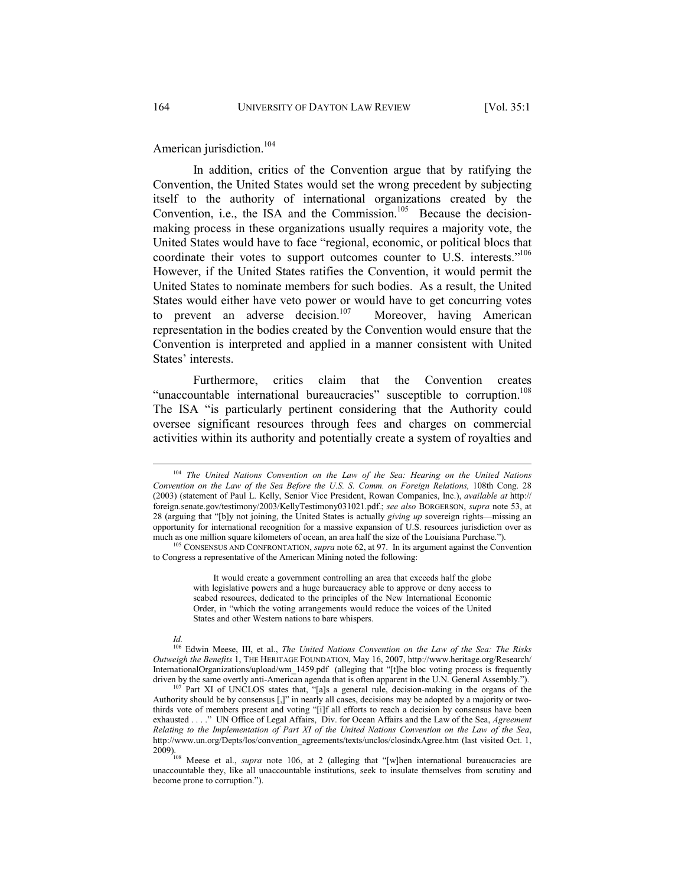American jurisdiction.<sup>104</sup>

In addition, critics of the Convention argue that by ratifying the Convention, the United States would set the wrong precedent by subjecting itself to the authority of international organizations created by the Convention, i.e., the ISA and the Commission. $105$  Because the decisionmaking process in these organizations usually requires a majority vote, the United States would have to face "regional, economic, or political blocs that coordinate their votes to support outcomes counter to U.S. interests."<sup>106</sup> However, if the United States ratifies the Convention, it would permit the United States to nominate members for such bodies. As a result, the United States would either have veto power or would have to get concurring votes to prevent an adverse decision.<sup>107</sup> Moreover, having American representation in the bodies created by the Convention would ensure that the Convention is interpreted and applied in a manner consistent with United States' interests.

Furthermore, critics claim that the Convention creates "unaccountable international bureaucracies" susceptible to corruption.<sup>108</sup> The ISA "is particularly pertinent considering that the Authority could oversee significant resources through fees and charges on commercial activities within its authority and potentially create a system of royalties and

It would create a government controlling an area that exceeds half the globe with legislative powers and a huge bureaucracy able to approve or deny access to seabed resources, dedicated to the principles of the New International Economic Order, in "which the voting arrangements would reduce the voices of the United States and other Western nations to bare whispers.

*Id.*

 <sup>104</sup> *The United Nations Convention on the Law of the Sea: Hearing on the United Nations*  Convention on the Law of the Sea Before the U.S. S. Comm. on Foreign Relations, 108th Cong. 28 (2003) (statement of Paul L. Kelly, Senior Vice President, Rowan Companies, Inc.), *available at* http:// foreign.senate.gov/testimony/2003/KellyTestimony031021.pdf.; *see also* BORGERSON, *supra* note 53, at 28 (arguing that "[b]y not joining, the United States is actually *giving up* sovereign rights—missing an opportunity for international recognition for a massive expansion of U.S. resources jurisdiction over as much as one million square kilometers of ocean, an area half the size of the Louisiana Purchase."). 105 CONSENSUS AND CONFRONTATION, *supra* note 62, at 97. In its argument against the Convention

to Congress a representative of the American Mining noted the following:

<sup>106</sup> Edwin Meese, III, et al., *The United Nations Convention on the Law of the Sea: The Risks Outweigh the Benefits* 1, THE HERITAGE FOUNDATION, May 16, 2007, http://www.heritage.org/Research/ InternationalOrganizations/upload/wm\_1459.pdf (alleging that "[t]he bloc voting process is frequently driven by the same overtly anti-American agenda that is often apparent in the U.N. General Assembly.").

<sup>&</sup>lt;sup>107</sup> Part XI of UNCLOS states that, "[a]s a general rule, decision-making in the organs of the Authority should be by consensus [,]" in nearly all cases, decisions may be adopted by a majority or twothirds vote of members present and voting "[i]f all efforts to reach a decision by consensus have been exhausted . . . ." UN Office of Legal Affairs, Div. for Ocean Affairs and the Law of the Sea, *Agreement Relating to the Implementation of Part XI of the United Nations Convention on the Law of the Sea*, http://www.un.org/Depts/los/convention\_agreements/texts/unclos/closindxAgree.htm (last visited Oct. 1,

<sup>2009).&</sup>lt;br><sup>108</sup> Meese et al., *supra* note 106, at 2 (alleging that "[w]hen international bureaucracies are unaccountable they, like all unaccountable institutions, seek to insulate themselves from scrutiny and become prone to corruption.").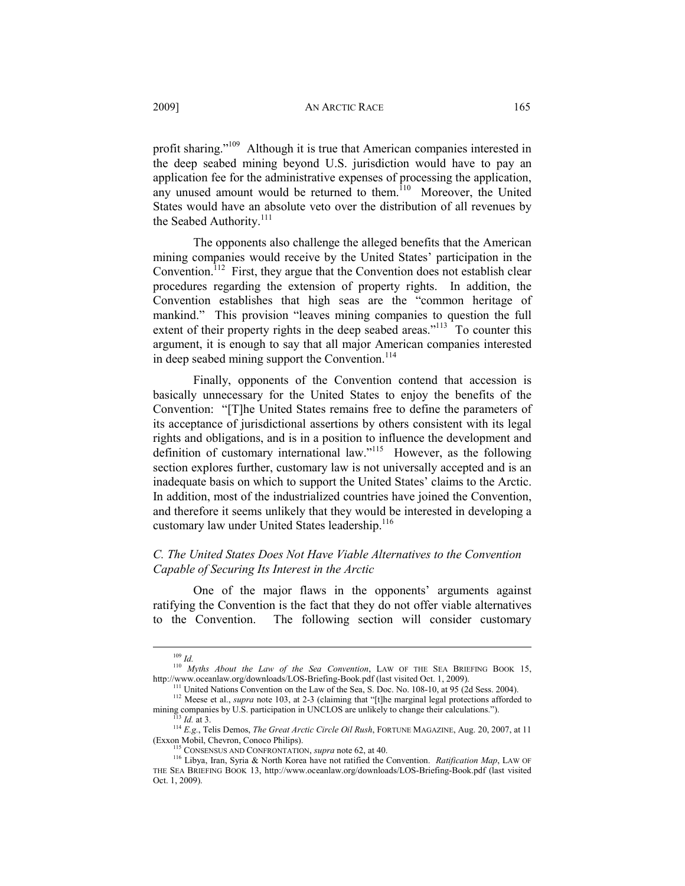profit sharing."109 Although it is true that American companies interested in the deep seabed mining beyond U.S. jurisdiction would have to pay an application fee for the administrative expenses of processing the application, any unused amount would be returned to them.<sup>110</sup> Moreover, the United States would have an absolute veto over the distribution of all revenues by the Seabed Authority.<sup>111</sup>

The opponents also challenge the alleged benefits that the American mining companies would receive by the United States' participation in the Convention.<sup>112</sup> First, they argue that the Convention does not establish clear procedures regarding the extension of property rights. In addition, the Convention establishes that high seas are the "common heritage of mankind." This provision "leaves mining companies to question the full extent of their property rights in the deep seabed areas."<sup>113</sup> To counter this argument, it is enough to say that all major American companies interested in deep seabed mining support the Convention.<sup>114</sup>

Finally, opponents of the Convention contend that accession is basically unnecessary for the United States to enjoy the benefits of the Convention: "[T]he United States remains free to define the parameters of its acceptance of jurisdictional assertions by others consistent with its legal rights and obligations, and is in a position to influence the development and definition of customary international law."115 However, as the following section explores further, customary law is not universally accepted and is an inadequate basis on which to support the United States' claims to the Arctic. In addition, most of the industrialized countries have joined the Convention, and therefore it seems unlikely that they would be interested in developing a customary law under United States leadership.<sup>116</sup>

# *C. The United States Does Not Have Viable Alternatives to the Convention Capable of Securing Its Interest in the Arctic*

One of the major flaws in the opponents' arguments against ratifying the Convention is the fact that they do not offer viable alternatives to the Convention. The following section will consider customary

<sup>&</sup>lt;sup>110</sup> *Myths About the Law of the Sea Convention*, LAW OF THE SEA BRIEFING BOOK 15,

http://www.oceanlaw.org/downloads/LOS-Briefing-Book.pdf (last visited Oct. 1, 2009).<br><sup>111</sup> United Nations Convention on the Law of the Sea, S. Doc. No. 108-10, at 95 (2d Sess. 2004).<br><sup>112</sup> Meese et al., *supra* note 103, a

 $\frac{13}{114}$  *Id.* at 3.<br>
<sup>114</sup> *E.g.*, Telis Demos, *The Great Arctic Circle Oil Rush*, FORTUNE MAGAZINE, Aug. 20, 2007, at 11<br>
(Exxon Mobil, Chevron, Conoco Philips).

<sup>&</sup>lt;sup>115</sup> CONSENSUS AND CONFRONTATION, *supra* note 62, at 40. 116 Libya, Iran, Syria & North Korea have not ratified the Convention. *Ratification Map*, LAW OF THE SEA BRIEFING BOOK 13, http://www.oceanlaw.org/downloads/LOS-Briefing-Book.pdf (last visited Oct. 1, 2009).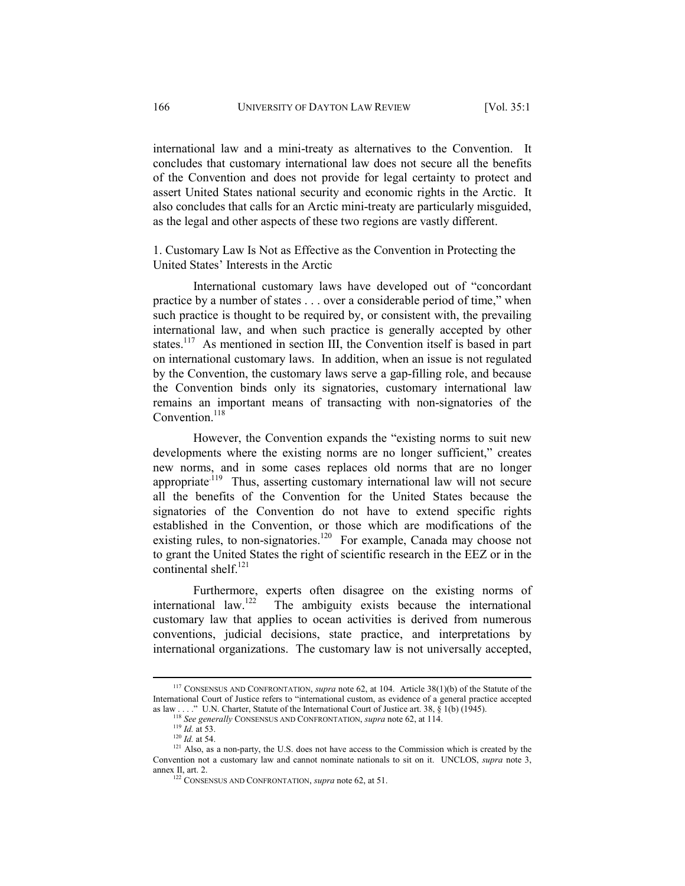international law and a mini-treaty as alternatives to the Convention. It concludes that customary international law does not secure all the benefits of the Convention and does not provide for legal certainty to protect and assert United States national security and economic rights in the Arctic. It also concludes that calls for an Arctic mini-treaty are particularly misguided, as the legal and other aspects of these two regions are vastly different.

1. Customary Law Is Not as Effective as the Convention in Protecting the United States' Interests in the Arctic

International customary laws have developed out of "concordant practice by a number of states . . . over a considerable period of time," when such practice is thought to be required by, or consistent with, the prevailing international law, and when such practice is generally accepted by other states.<sup>117</sup> As mentioned in section III, the Convention itself is based in part on international customary laws. In addition, when an issue is not regulated by the Convention, the customary laws serve a gap-filling role, and because the Convention binds only its signatories, customary international law remains an important means of transacting with non-signatories of the Convention $118$ 

However, the Convention expands the "existing norms to suit new developments where the existing norms are no longer sufficient," creates new norms, and in some cases replaces old norms that are no longer appropriate<sup> $119$ </sup> Thus, asserting customary international law will not secure all the benefits of the Convention for the United States because the signatories of the Convention do not have to extend specific rights established in the Convention, or those which are modifications of the existing rules, to non-signatories.<sup>120</sup> For example, Canada may choose not to grant the United States the right of scientific research in the EEZ or in the continental shelf. $^{121}$ 

Furthermore, experts often disagree on the existing norms of international law.<sup>122</sup> The ambiguity exists because the international The ambiguity exists because the international customary law that applies to ocean activities is derived from numerous conventions, judicial decisions, state practice, and interpretations by international organizations. The customary law is not universally accepted,

 <sup>117</sup> CONSENSUS AND CONFRONTATION, *supra* note 62, at 104. Article 38(1)(b) of the Statute of the International Court of Justice refers to "international custom, as evidence of a general practice accepted as law ...." U.N. Charter, Statute of the International Court of Justice art. 38, § 1(b) (1945).<br>
<sup>118</sup> See generally CONSENSUS AND CONFRONTATION, *supra* note 62, at 114.<br>
<sup>119</sup> *Id.* at 53.<br>
<sup>120</sup> *Id.* at 54.<br>
<sup>121</sup> Al

Convention not a customary law and cannot nominate nationals to sit on it. UNCLOS, *supra* note 3, annex II, art. 2.<br><sup>122</sup> CONSENSUS AND CONFRONTATION, *supra* note 62, at 51.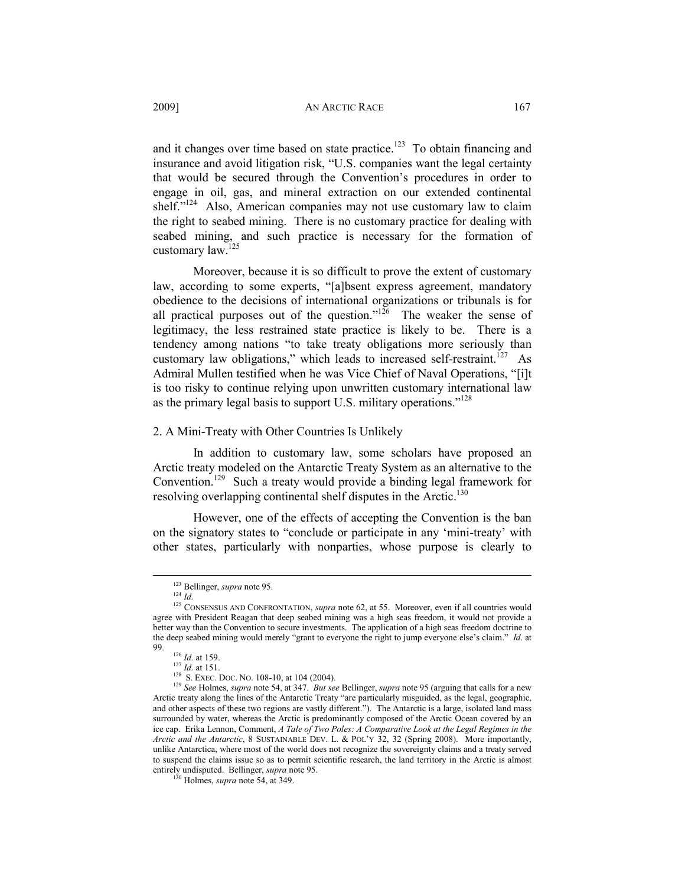and it changes over time based on state practice.<sup>123</sup> To obtain financing and insurance and avoid litigation risk, "U.S. companies want the legal certainty that would be secured through the Convention's procedures in order to engage in oil, gas, and mineral extraction on our extended continental shelf."<sup>124</sup> Also, American companies may not use customary law to claim the right to seabed mining. There is no customary practice for dealing with seabed mining, and such practice is necessary for the formation of customary  $law<sup>125</sup>$ 

Moreover, because it is so difficult to prove the extent of customary law, according to some experts, "[a]bsent express agreement, mandatory obedience to the decisions of international organizations or tribunals is for all practical purposes out of the question."<sup>126</sup> The weaker the sense of legitimacy, the less restrained state practice is likely to be. There is a tendency among nations "to take treaty obligations more seriously than customary law obligations," which leads to increased self-restraint.<sup>127</sup> As Admiral Mullen testified when he was Vice Chief of Naval Operations, "[i]t is too risky to continue relying upon unwritten customary international law as the primary legal basis to support U.S. military operations."<sup>128</sup>

# 2. A Mini-Treaty with Other Countries Is Unlikely

In addition to customary law, some scholars have proposed an Arctic treaty modeled on the Antarctic Treaty System as an alternative to the Convention.129 Such a treaty would provide a binding legal framework for resolving overlapping continental shelf disputes in the Arctic.<sup>130</sup>

However, one of the effects of accepting the Convention is the ban on the signatory states to "conclude or participate in any 'mini-treaty' with other states, particularly with nonparties, whose purpose is clearly to

<sup>&</sup>lt;sup>123</sup> Bellinger, *supra* note 95.<br><sup>124</sup> *Id.* 125 CONSENSUS AND CONFRONTATION, *supra* note 62, at 55. Moreover, even if all countries would agree with President Reagan that deep seabed mining was a high seas freedom, it would not provide a better way than the Convention to secure investments. The application of a high seas freedom doctrine to the deep seabed mining would merely "grant to everyone the right to jump everyone else's claim." *Id.* at

<sup>&</sup>lt;sup>126</sup> *Id.* at 159.<br><sup>127</sup> *Id.* at 151.<br><sup>128</sup> S. EXEC. DOC. NO. 108-10, at 104 (2004).<br><sup>129</sup> *See* Holmes, *supra* note 54, at 347. *But see* Bellinger, *supra* note 95 (arguing that calls for a new Arctic treaty along the lines of the Antarctic Treaty "are particularly misguided, as the legal, geographic, and other aspects of these two regions are vastly different."). The Antarctic is a large, isolated land mass surrounded by water, whereas the Arctic is predominantly composed of the Arctic Ocean covered by an ice cap. Erika Lennon, Comment, *A Tale of Two Poles: A Comparative Look at the Legal Regimes in the Arctic and the Antarctic*, 8 SUSTAINABLE DEV. L. & POL'Y 32, 32 (Spring 2008). More importantly, unlike Antarctica, where most of the world does not recognize the sovereignty claims and a treaty served to suspend the claims issue so as to permit scientific research, the land territory in the Arctic is almost entirely undisputed. Bellinger, *supra* note 95.<br><sup>130</sup> Holmes, *supra* note 54, at 349.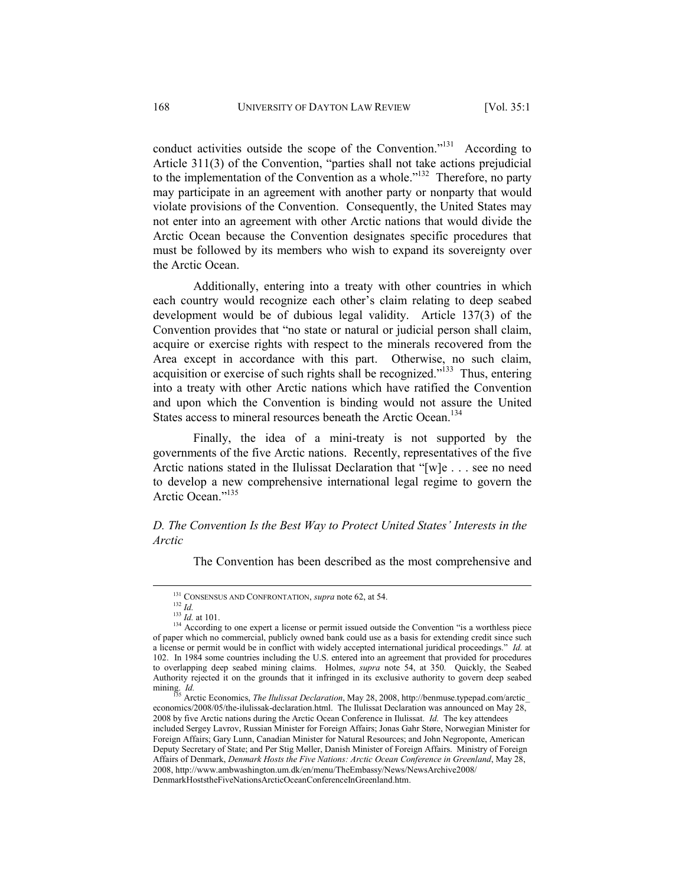conduct activities outside the scope of the Convention."<sup>131</sup> According to Article 311(3) of the Convention, "parties shall not take actions prejudicial to the implementation of the Convention as a whole."<sup>132</sup> Therefore, no party may participate in an agreement with another party or nonparty that would violate provisions of the Convention. Consequently, the United States may not enter into an agreement with other Arctic nations that would divide the Arctic Ocean because the Convention designates specific procedures that must be followed by its members who wish to expand its sovereignty over the Arctic Ocean.

Additionally, entering into a treaty with other countries in which each country would recognize each other's claim relating to deep seabed development would be of dubious legal validity. Article 137(3) of the Convention provides that "no state or natural or judicial person shall claim, acquire or exercise rights with respect to the minerals recovered from the Area except in accordance with this part. Otherwise, no such claim, acquisition or exercise of such rights shall be recognized."<sup>133</sup> Thus, entering into a treaty with other Arctic nations which have ratified the Convention and upon which the Convention is binding would not assure the United States access to mineral resources beneath the Arctic Ocean.<sup>134</sup>

Finally, the idea of a mini-treaty is not supported by the governments of the five Arctic nations. Recently, representatives of the five Arctic nations stated in the Ilulissat Declaration that "[w]e . . . see no need to develop a new comprehensive international legal regime to govern the Arctic Ocean."<sup>135</sup>

# *D. The Convention Is the Best Way to Protect United States' Interests in the Arctic*

The Convention has been described as the most comprehensive and

<sup>&</sup>lt;sup>131</sup> CONSENSUS AND CONFRONTATION, *supra* note 62, at 54.<br><sup>132</sup> *Id. 133 Id.* at 101.<br><sup>134</sup> According to one expert a license or permit issued outside the Convention "is a worthless piece of paper which no commercial, publicly owned bank could use as a basis for extending credit since such a license or permit would be in conflict with widely accepted international juridical proceedings." *Id.* at 102. In 1984 some countries including the U.S. entered into an agreement that provided for procedures to overlapping deep seabed mining claims. Holmes, *supra* note 54, at 350*.* Quickly, the Seabed Authority rejected it on the grounds that it infringed in its exclusive authority to govern deep seabed mining. *Id.* 135 Arctic Economics, *The Ilulissat Declaration*, May 28, 2008, http://benmuse.typepad.com/arctic\_

economics/2008/05/the-ilulissak-declaration.html. The Ilulissat Declaration was announced on May 28, 2008 by five Arctic nations during the Arctic Ocean Conference in Ilulissat. *Id.* The key attendees included Sergey Lavrov, Russian Minister for Foreign Affairs; Jonas Gahr Støre, Norwegian Minister for Foreign Affairs; Gary Lunn, Canadian Minister for Natural Resources; and John Negroponte, American Deputy Secretary of State; and Per Stig Møller, Danish Minister of Foreign Affairs. Ministry of Foreign Affairs of Denmark, *Denmark Hosts the Five Nations: Arctic Ocean Conference in Greenland*, May 28, 2008, http://www.ambwashington.um.dk/en/menu/TheEmbassy/News/NewsArchive2008/ DenmarkHoststheFiveNationsArcticOceanConferenceInGreenland.htm.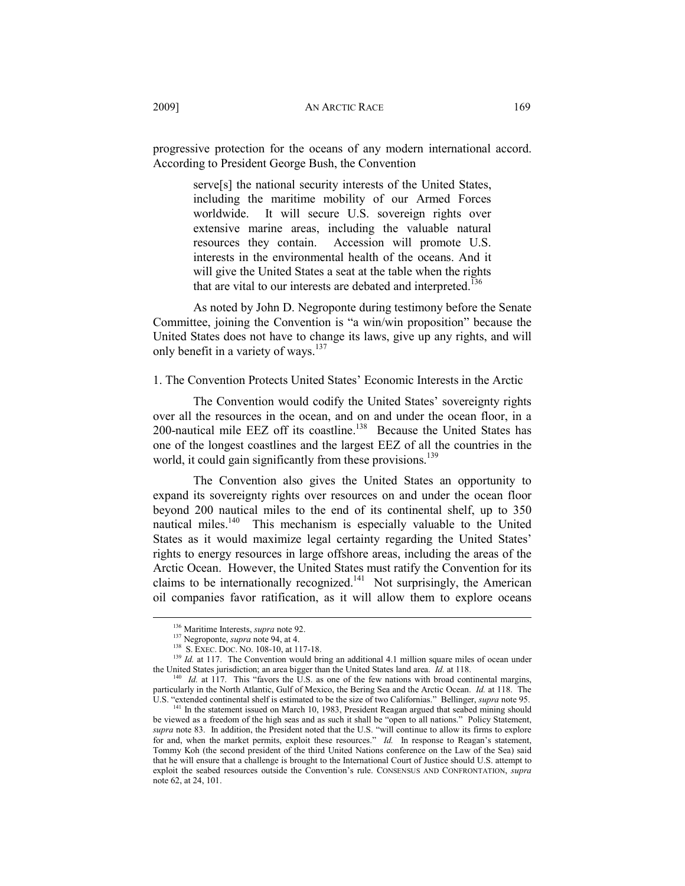progressive protection for the oceans of any modern international accord. According to President George Bush, the Convention

> serve<sup>[s]</sup> the national security interests of the United States, including the maritime mobility of our Armed Forces worldwide. It will secure U.S. sovereign rights over extensive marine areas, including the valuable natural resources they contain. Accession will promote U.S. interests in the environmental health of the oceans. And it will give the United States a seat at the table when the rights that are vital to our interests are debated and interpreted.<sup>136</sup>

As noted by John D. Negroponte during testimony before the Senate Committee, joining the Convention is "a win/win proposition" because the United States does not have to change its laws, give up any rights, and will only benefit in a variety of ways.<sup>137</sup>

1. The Convention Protects United States' Economic Interests in the Arctic

The Convention would codify the United States' sovereignty rights over all the resources in the ocean, and on and under the ocean floor, in a 200-nautical mile EEZ off its coastline.<sup>138</sup> Because the United States has one of the longest coastlines and the largest EEZ of all the countries in the world, it could gain significantly from these provisions.<sup>139</sup>

The Convention also gives the United States an opportunity to expand its sovereignty rights over resources on and under the ocean floor beyond 200 nautical miles to the end of its continental shelf, up to 350 nautical miles.<sup>140</sup> This mechanism is especially valuable to the United States as it would maximize legal certainty regarding the United States' rights to energy resources in large offshore areas, including the areas of the Arctic Ocean. However, the United States must ratify the Convention for its claims to be internationally recognized.<sup>141</sup> Not surprisingly, the American oil companies favor ratification, as it will allow them to explore oceans

<sup>&</sup>lt;sup>136</sup> Maritime Interests, *supra* note 92.<br><sup>137</sup> Negroponte, *supra* note 94, at 4.<br><sup>138</sup> S. EXEC. Doc. No. 108-10, at 117-18.<br><sup>139</sup> Id. at 117. The Convention would bring an additional 4.1 million square miles of ocean u the United States jurisdiction; an area bigger than the United States land area. *Id.* at 118. <sup>140</sup> *Id.* at 117. This "favors the U.S. as one of the few nations with broad continental margins,

particularly in the North Atlantic, Gulf of Mexico, the Bering Sea and the Arctic Ocean. *Id.* at 118. The U.S. "extended continental shelf is estimated to be the size of two Californias." Bellinger, *supra* note 95. <sup>141</sup> In the statement issued on March 10, 1983, President Reagan argued that seabed mining should

be viewed as a freedom of the high seas and as such it shall be "open to all nations." Policy Statement, *supra* note 83. In addition, the President noted that the U.S. "will continue to allow its firms to explore for and, when the market permits, exploit these resources." *Id.* In response to Reagan's statement, Tommy Koh (the second president of the third United Nations conference on the Law of the Sea) said that he will ensure that a challenge is brought to the International Court of Justice should U.S. attempt to exploit the seabed resources outside the Convention's rule. CONSENSUS AND CONFRONTATION, *supra* note 62, at 24, 101.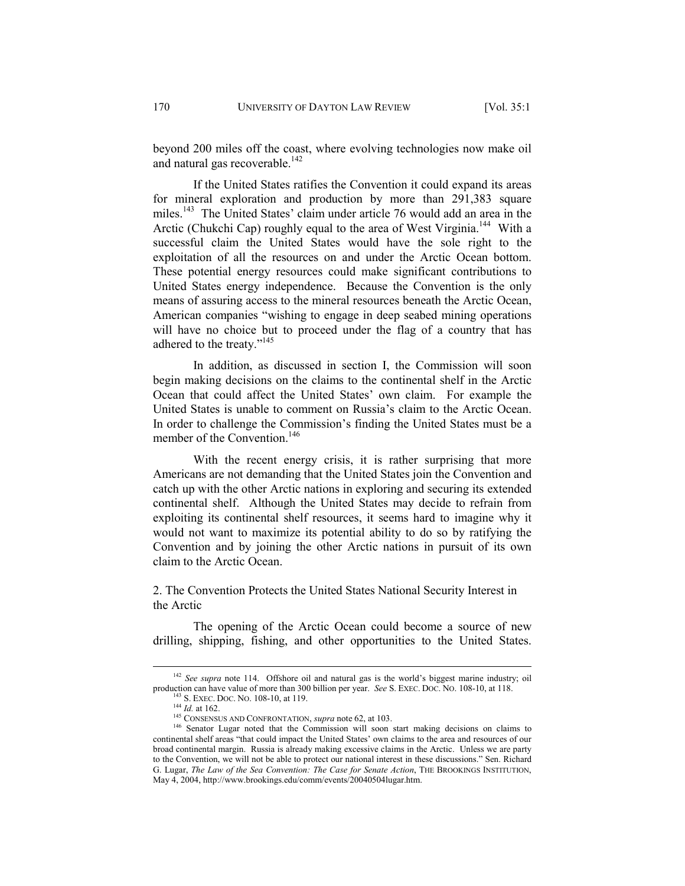beyond 200 miles off the coast, where evolving technologies now make oil and natural gas recoverable.<sup>142</sup>

If the United States ratifies the Convention it could expand its areas for mineral exploration and production by more than 291,383 square miles.<sup>143</sup> The United States' claim under article 76 would add an area in the Arctic (Chukchi Cap) roughly equal to the area of West Virginia.<sup>144</sup> With a successful claim the United States would have the sole right to the exploitation of all the resources on and under the Arctic Ocean bottom. These potential energy resources could make significant contributions to United States energy independence. Because the Convention is the only means of assuring access to the mineral resources beneath the Arctic Ocean, American companies "wishing to engage in deep seabed mining operations will have no choice but to proceed under the flag of a country that has adhered to the treaty."<sup>145</sup>

In addition, as discussed in section I, the Commission will soon begin making decisions on the claims to the continental shelf in the Arctic Ocean that could affect the United States' own claim. For example the United States is unable to comment on Russia's claim to the Arctic Ocean. In order to challenge the Commission's finding the United States must be a member of the Convention.<sup>146</sup>

With the recent energy crisis, it is rather surprising that more Americans are not demanding that the United States join the Convention and catch up with the other Arctic nations in exploring and securing its extended continental shelf. Although the United States may decide to refrain from exploiting its continental shelf resources, it seems hard to imagine why it would not want to maximize its potential ability to do so by ratifying the Convention and by joining the other Arctic nations in pursuit of its own claim to the Arctic Ocean.

2. The Convention Protects the United States National Security Interest in the Arctic

The opening of the Arctic Ocean could become a source of new drilling, shipping, fishing, and other opportunities to the United States.

<sup>&</sup>lt;sup>142</sup> *See supra* note 114. Offshore oil and natural gas is the world's biggest marine industry; oil production can have value of more than 300 billion per year. *See* S. EXEC. Doc. No. 108-10, at 118.

<sup>&</sup>lt;sup>143</sup> S. EXEC. DOC. NO. 108-10, at 119.<br><sup>144</sup> *Id.* at 162.<br><sup>145</sup> CONSENSUS AND CONFRONTATION, *supra* note 62, at 103.<br><sup>146</sup> Senator Lugar noted that the Commission will soon start making decisions on claims to continental shelf areas "that could impact the United States' own claims to the area and resources of our broad continental margin. Russia is already making excessive claims in the Arctic. Unless we are party to the Convention, we will not be able to protect our national interest in these discussions." Sen. Richard G. Lugar, *The Law of the Sea Convention: The Case for Senate Action*, THE BROOKINGS INSTITUTION, May 4, 2004, http://www.brookings.edu/comm/events/20040504lugar.htm.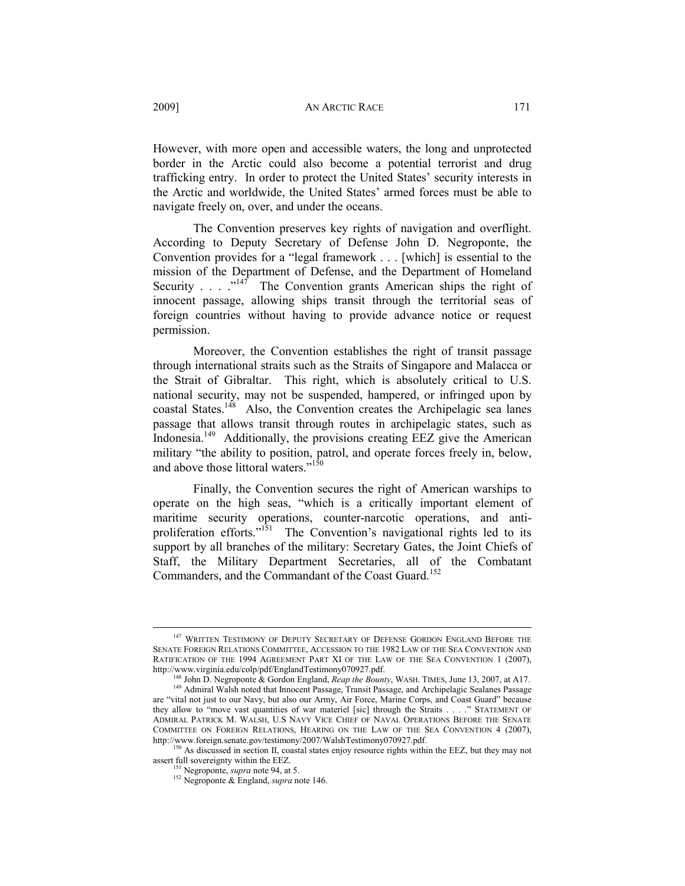However, with more open and accessible waters, the long and unprotected border in the Arctic could also become a potential terrorist and drug trafficking entry. In order to protect the United States' security interests in the Arctic and worldwide, the United States' armed forces must be able to navigate freely on, over, and under the oceans.

The Convention preserves key rights of navigation and overflight. According to Deputy Secretary of Defense John D. Negroponte, the Convention provides for a "legal framework . . . [which] is essential to the mission of the Department of Defense, and the Department of Homeland Security  $\ldots$   $\ldots$ <sup>147</sup> The Convention grants American ships the right of innocent passage, allowing ships transit through the territorial seas of foreign countries without having to provide advance notice or request permission.

Moreover, the Convention establishes the right of transit passage through international straits such as the Straits of Singapore and Malacca or the Strait of Gibraltar. This right, which is absolutely critical to U.S. national security, may not be suspended, hampered, or infringed upon by coastal States.<sup>148</sup> Also, the Convention creates the Archipelagic sea lanes passage that allows transit through routes in archipelagic states, such as Indonesia.<sup>149</sup> Additionally, the provisions creating EEZ give the American military "the ability to position, patrol, and operate forces freely in, below, and above those littoral waters."<sup>150</sup>

Finally, the Convention secures the right of American warships to operate on the high seas, "which is a critically important element of maritime security operations, counter-narcotic operations, and antiproliferation efforts."<sup>151</sup> The Convention's navigational rights led to its support by all branches of the military: Secretary Gates, the Joint Chiefs of Staff, the Military Department Secretaries, all of the Combatant Commanders, and the Commandant of the Coast Guard.<sup>152</sup>

<sup>&</sup>lt;sup>147</sup> WRITTEN TESTIMONY OF DEPUTY SECRETARY OF DEFENSE GORDON ENGLAND BEFORE THE SENATE FOREIGN RELATIONS COMMITTEE, ACCESSION TO THE 1982 LAW OF THE SEA CONVENTION AND RATIFICATION OF THE 1994 AGREEMENT PART XI OF THE LAW OF THE SEA CONVENTION 1 (2007),

http://www.virginia.edu/colp/pdf/EnglandTestimony070927.pdf.<br><sup>148</sup> John D. Negroponte & Gordon England, *Reap the Bounty*, WASH. TIMES, June 13, 2007, at A17.<br><sup>149</sup> Admiral Walsh noted that Innocent Passage, Transit Passag are "vital not just to our Navy, but also our Army, Air Force, Marine Corps, and Coast Guard" because they allow to "move vast quantities of war materiel [sic] through the Straits . . . ." STATEMENT OF ADMIRAL PATRICK M. WALSH, U.S NAVY VICE CHIEF OF NAVAL OPERATIONS BEFORE THE SENATE COMMITTEE ON FOREIGN RELATIONS, HEARING ON THE LAW OF THE SEA CONVENTION 4 (2007),

http://www.foreign.senate.gov/testimony/2007/WalshTestimony070927.pdf. <sup>150</sup> As discussed in section II, coastal states enjoy resource rights within the EEZ, but they may not assert full sovereignty within the EEZ.

<sup>&</sup>lt;sup>151</sup> Negroponte, *supra* note 94, at 5.<br><sup>152</sup> Negroponte & England, *supra* note 146.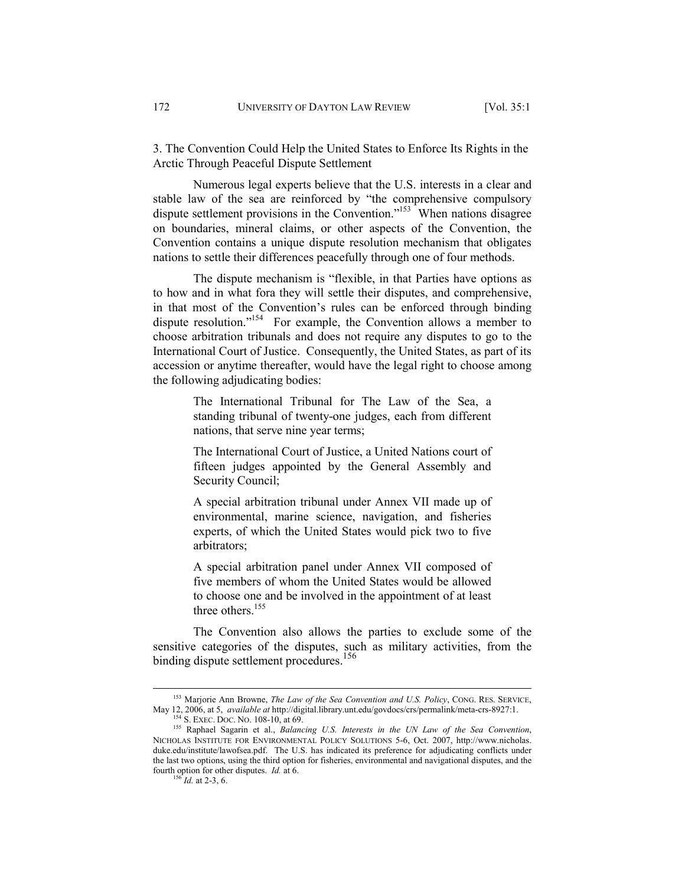3. The Convention Could Help the United States to Enforce Its Rights in the Arctic Through Peaceful Dispute Settlement

Numerous legal experts believe that the U.S. interests in a clear and stable law of the sea are reinforced by "the comprehensive compulsory dispute settlement provisions in the Convention. $153$  When nations disagree on boundaries, mineral claims, or other aspects of the Convention, the Convention contains a unique dispute resolution mechanism that obligates nations to settle their differences peacefully through one of four methods.

The dispute mechanism is "flexible, in that Parties have options as to how and in what fora they will settle their disputes, and comprehensive, in that most of the Convention's rules can be enforced through binding dispute resolution."154 For example, the Convention allows a member to choose arbitration tribunals and does not require any disputes to go to the International Court of Justice. Consequently, the United States, as part of its accession or anytime thereafter, would have the legal right to choose among the following adjudicating bodies:

> The International Tribunal for The Law of the Sea, a standing tribunal of twenty-one judges, each from different nations, that serve nine year terms;

> The International Court of Justice, a United Nations court of fifteen judges appointed by the General Assembly and Security Council;

> A special arbitration tribunal under Annex VII made up of environmental, marine science, navigation, and fisheries experts, of which the United States would pick two to five arbitrators;

> A special arbitration panel under Annex VII composed of five members of whom the United States would be allowed to choose one and be involved in the appointment of at least three others.<sup>155</sup>

The Convention also allows the parties to exclude some of the sensitive categories of the disputes, such as military activities, from the binding dispute settlement procedures.<sup>156</sup>

 <sup>153</sup> Marjorie Ann Browne, *The Law of the Sea Convention and U.S. Policy*, CONG. RES. SERVICE, May 12, 2006, at 5, *available at http://digital.library.unt.edu/govdocs/crs/permalink/meta-crs-8927:1.*<br><sup>154</sup> S. EXEC. DOC. NO. 108-10, at 69.<br><sup>155</sup> Raphael Sagarin et al., *Balancing U.S. Interests in the UN Law of the S* 

NICHOLAS INSTITUTE FOR ENVIRONMENTAL POLICY SOLUTIONS 5-6, Oct. 2007, http://www.nicholas. duke.edu/institute/lawofsea.pdf. The U.S. has indicated its preference for adjudicating conflicts under the last two options, using the third option for fisheries, environmental and navigational disputes, and the fourth option for other disputes. *Id.* at 6.  $\frac{156}{16}$  *Id.* at 2-3, 6.